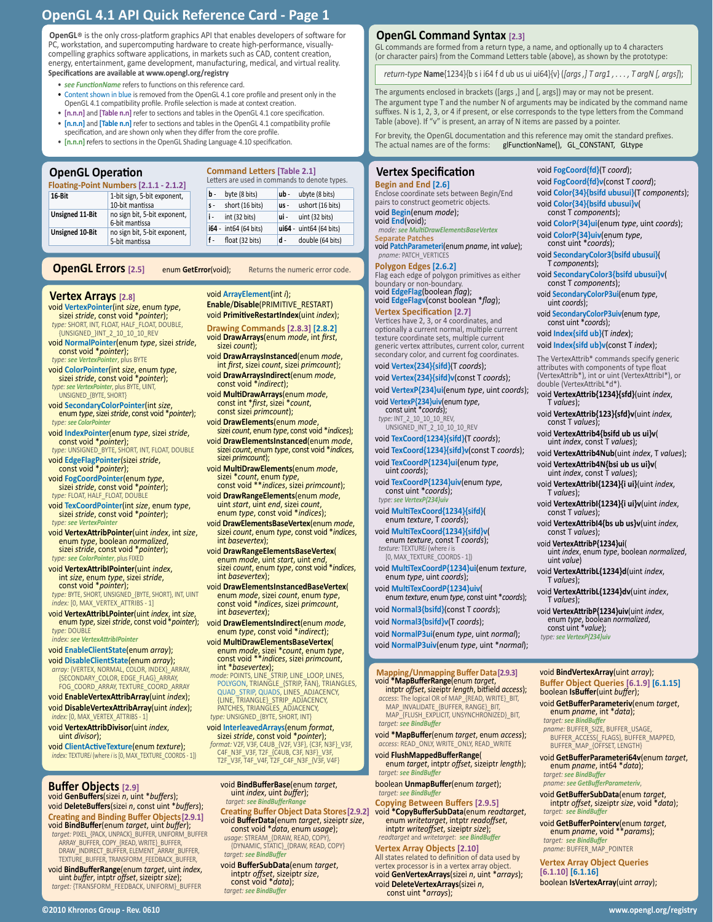**OpenGL**® is the only cross-platform graphics API that enables developers of software for PC, workstation, and supercomputing hardware to create high-performance, visuallycompelling graphics software applications, in markets such as CAD, content creation, energy, entertainment, game development, manufacturing, medical, and virtual reality. **Specifications are available at www.opengl.org/registry**

• *see FunctionName* refers to functions on this reference card.

- Content shown in blue is removed from the OpenGL 4.1 core profile and present only in the OpenGL 4.1 compatibility profile. Profile selection is made at context creation.
- **[n.n.n]** and **[Table n.n]** refer to sections and tables in the OpenGL 4.1 core specification. • **[n.n.n]** and **[Table n.n]** refer to sections and tables in the OpenGL 4.1 compatibility profile
- specification, and are shown only when they differ from the core profile.
- **[n.n.n]** refers to sections in the OpenGL Shading Language 4.10 specification.

# **OpenGL Operation**

**Floating-Point Numbers [2.1.1 - 2.1.2]**

**Unsign** 

**Unsign** 

| <b>OpenGL Operation</b><br>loating-Point Numbers [2.1.1 - 2.1.2] |                                                | <b>Command Letters [Table 2.1]</b><br>Letters are used in commands to denote types. |                       |      |                         |  |
|------------------------------------------------------------------|------------------------------------------------|-------------------------------------------------------------------------------------|-----------------------|------|-------------------------|--|
| 1-bit sign, 5-bit exponent,<br>16-Bit                            |                                                | b -                                                                                 | byte (8 bits)         | ub - | ubyte (8 bits)          |  |
|                                                                  | 10-bit mantissa                                | $S -$                                                                               | short (16 bits)       | us - | ushort (16 bits)        |  |
| <b>Unsigned 11-Bit</b>                                           | no sign bit, 5-bit exponent,<br>6-bit mantissa | i-                                                                                  | int (32 bits)         | ui - | uint (32 bits)          |  |
| <b>Unsigned 10-Bit</b>                                           | no sign bit, 5-bit exponent,                   |                                                                                     | i64 - int64 (64 bits) |      | ui64 - uint64 (64 bits) |  |
|                                                                  | 5-bit mantissa                                 | f-                                                                                  | float (32 bits)       | d -  | double (64 bits)        |  |
|                                                                  |                                                |                                                                                     |                       |      |                         |  |

## **OpenGL Errors** [2.5] enum GetError(void); Returns the numeric error code

- **Vertex Arrays** [2.8]<br>void VertexPointer(int size, enum type, sizei *stride*, const void \**pointer*); *type:* SHORT, INT, FLOAT, HALF\_FLOAT, DOUBLE, {UNSIGNED\_}INT\_2\_10\_10\_10\_REV
- void NormalPointer(enum type, sizei stride,
- **const void \*pointer);**<br>*type: see VertexPointer*, plus BYTE
- void **ColorPointer**(int *size*, enum *type*, sizei *stride*, const void \**pointer*); *type: see VertexPointer*, plus BYTE, UINT,
- UNSIGNED\_{BYTE, SHORT}

void **SecondaryColorPointer**(int *size*, enum *type*, sizei *stride*, const void \**pointer*); *type: see ColorPointer*

void **IndexPointer**(enum *type*, sizei *stride*, const void \**pointer*); *type:* UNSIGNED\_BYTE, SHORT, INT, FLOAT, DOUBLE

void **EdgeFlagPointer**(sizei *stride*, const void \**pointer*);

- void **FogCoordPointer**(enum *type*, sizei *stride*, const void \**pointer*); *type:* FLOAT, HALF\_FLOAT, DOUBLE
- void **TexCoordPointer**(int *size*, enum *type*, sizei *stride*, const void \**pointer*);

*type: see VertexPointer* void **VertexAttribPointer**(uint *index*, int *size*, enum *type*, boolean *normalized*, sizei *stride*, const void \**pointer*);

*type: see ColorPointer*, plus FIXED

void **VertexAttribIPointer**(uint *index,*<br>int *size*, enum *type*, sizei *stride,<br>const void \*pointer};<br><i>type:* BYTE, SHORT, UNSIGNED\_{BYTE, SHORT}, INT, UINT<br>*type:* BYTE, SHORT, UNSIGNED\_{BYTE, SHORT}, INT, UINT *index:* [0, MAX\_VERTEX\_ATTRIBS - 1]

void **VertexAttribLPointer**(uint *index*, int *size*, enum *type*, sizei *stride*, const void \**pointer*); *type:* DOUBLE

*index: see VertexAttribIPointer*

void **EnableClientState**(enum *array*);

void **DisableClientState**(enum *array*);

*array:* {VERTEX, NORMAL, COLOR, INDEX}\_ARRAY, {SECONDARY\_COLOR, EDGE\_FLAG}\_ARRAY, FOG\_COORD\_ARRAY, TEXTURE\_COORD\_ARRAY

void **EnableVertexAttribArray**(uint *index*); void **DisableVertexAttribArray**(uint *index*); *index:* [0, MAX\_VERTEX\_ATTRIBS - 1]

void **VertexAttribDivisor**(uint *index*, uint *divisor*);

void **ClientActiveTexture**(enum *texture*); *index:* TEXTURE*i* (where *i* is [0, MAX\_TEXTURE\_COORDS - 1])

**Buffer Objects [2.9]** void **GenBuffers**(sizei *n*, uint \**buffers*); void **DeleteBuffers**(sizei *n*, const uint \**buffers*); **Creating and Binding Buffer Objects[2.9.1]** void **BindBuffer**(enum *target*, uint *buffer*); *target:* PIXEL\_{PACK, UNPACK}\_BUFFER, UNIFORM\_BUFFER

ARRAY\_BUFFER, COPY\_{READ, WRITE}\_BUFFER DRAW\_INDIRECT\_BUFFER, ELEMENT\_ARRAY\_BUFFER, TEXTURE\_BUFFER, TRANSFORM\_FEEDBACK\_BUFFER,

void **BindBufferRange**(enum *target*, uint *index*, uint *buffer*, intptr *offset*, sizeiptr *size*); *target:* {TRANSFORM\_FEEDBACK, UNIFORM}\_BUFFER

#### void **ArrayElement**(int *i*);

**Enable**/**Disable**(PRIMITIVE\_RESTART) void **PrimitiveRestartIndex**(uint *index*); **Drawing Commands [2.8.3] [2.8.2]** void **DrawArrays**(enum *mode*, int *first*, sizei *count*);

void **DrawArraysInstanced**(enum *mode*, int *first*, sizei *count*, sizei *primcount*};

- void **DrawArraysIndirect**(enum *mode*, const void \**indirect*);
- void **MultiDrawArrays**(enum *mode*, const int \**first*, sizei \**count*, const sizei *primcount*);
- void **DrawElements**(enum *mode*, sizei *count*, enum *type*, const void \**indices*);
- void **DrawElementsInstanced**(enum *mode*, sizei *count*, enum *type*, const void \**indices*, sizei *primcount*);
- voizei \**count*, enum *type*, sizei \**count*, enum *type*, const void \*\**indices*, sizei *primcount*);
- 
- void **DrawRangeElements**(enum *mode,*<br>uint *start*, uint *end*, sizei *count*,<br>enum *type*, const void \**indices*);<br>void DrawFlementsBaseVertex(enum *mode*
- sizei *count*, enum *type*, const void \**indices*, int *basevertex*);
- void **DrawRangeElementsBaseVertex**( enum *mode*, uint *start*, uint *end*, sizei *count*, enum *type*, const void \**indices*, int *basevertex*);
- void **DrawElementsInstancedBaseVertex**( enum *mode*, sizei *count*, enum *type*, const void \**indices*, sizei *primcount*, int *basevertex*);
- void **DrawElementsIndirect**(enum *mode*, enum *type*, const void \**indirect*);
- void **MultiDrawElementsBaseVertex**( enum *mode*, sizei \**count*, enum *type*, const void \*\**indices*, sizei *primcount*, int \**basevertex*);
- *mode:* POINTS, LINE\_STRIP, LINE\_LOOP, LINES, POLYGON, TRIANGLE\_{STRIP, FAN}, TRIANGLES, QUAD\_STRIP, QUADS, LINES\_ADJACENCY, {LINE, TRIANGLE}\_STRIP\_ADJACENCY, PATCHES, TRIANGLES\_ADJACENCY, *type:* UNSIGNED\_{BYTE, SHORT, INT}
- 
- **void InterleavedArrays(enum format,<br>sizei stride, const void \*pointer);**<br>format: V2F, V3F, G4UB\_{V2F, V3F, {C3F, N3F}\_V3F,<br>C4F\_N3F\_V3F, T2F\_(C4UB, C3F, N3F)\_V3F,<br>T2F\_V3F, T4F\_V4F, T2F\_C4F\_N3F\_{V3F, V4F}
	- void **BindBufferBase**(enum *target*, uint *index*, uint *buffer*); *target:* **see Bir**
	- **Creating Buffer Object Data Stores[2.9.2]**

void **BufferData**(enum *target*, sizeiptr *size*, const void \**data*, enum *usage*); *usage*: STREAM\_{DRAW, READ, COPY},

- {DYNAMIC, STATIC}\_{DRAW, READ, COPY} *target: see BindBuffer*
- intptr *offset*, sizeiptr *size*, const void \**data*); *target: see BindBuffer*

## **OpenGL Command Syntax [2.3]**

GL commands are formed from a return type, a name, and optionally up to 4 characters (or character pairs) from the Command Letters table (above), as shown by the prototype:

 *return-type* **Name**{1234}{b s i i64 f d ub us ui ui64}{v} (*[args ,] T arg1 , . . . , T argN [, args]*);

The arguments enclosed in brackets ([args ,] and [, args]) may or may not be present. The argument type T and the number N of arguments may be indicated by the command name suffixes. N is 1, 2, 3, or 4 if present, or else corresponds to the type letters from the Command<br>Table (above). If "v" is present, an array of N items are passed by a pointer.

For brevity, the OpenGL documentation and this reference may omit the standard prefixes. glFunctionName(), GL\_CONSTANT, GLtype

#### **Vertex Specification Begin and End [2.6]**

Enclose coordinate sets between Begin/End pairs to construct geometric objects. void **Begin**(enum *mode*);

void **End**(void); *mode: see MultiDrawElementsBaseVertex*

ı Ļ

> **Separate Patches** void **PatchParameteri**(enum *pname*, int *value*); *pname: PATCH\_VERTICE*

# **Polygon Edges [2.6.2]**

Flag each edge of polygon primitives as either boundary or non-boundary. void **EdgeFlag**(boolean *flag*); void **EdgeFlagv**(const boolean \**flag*);

### **Vertex Specification [2.7]**

Vertices have 2, 3, or 4 coordinates, and optionally a current normal, multiple current texture coordinate sets, multiple current generic vertex attributes, current color, current secondary color, and current fog coordinates.

### void **Vertex{234}{sifd}**(T *coords*);

void **Vertex{234}{sifd}v**(const T *coords*);

void **VertexP{234}ui**(enum *type*, uint *coords*); void **VertexP{234}uiv**(enum *type*, const uint \**coords*);

*type:* INT\_2\_10\_10\_10\_REV, UNSIGNED\_INT\_2\_10\_10\_10\_REV

void **TexCoord{1234}{sifd}**(T *coords*);

void **TexCoord{1234}{sifd}v**(const T *coords*);

void **TexCoordP{1234}ui**(enum *type*, uint *coords*);

void **TexCoordP{1234}uiv**(enum *type*, const uint \**coords*); *type: see VertexP{234* 

#### void **MultiTexCoord{1234}{sifd}**( enum *texture*, T *coords*);

void **MultiTexCoord{1234}{sifd}v**( enum *texture*, const T *coords*);

*texture:* TEXTURE*i* (where *i* is [0, MAX\_TEXTURE\_COORDS - 1])

void **MultiTexCoordP{1234}ui**(enum *texture*, enum *type*, uint *coords*);

void **MultiTexCoordP{1234}uiv**( enum *texture*, enum *type*, const uint \**coords*); void **Normal3{bsifd}**(const T *coords*);

# void **Normal3{bsifd}v**(T *coords*);

void **NormalP3ui**(enum *type*, uint *normal*);

void **NormalP3uiv**(enum *type*, uint \**normal*);

# **Mapping/Unmapping Buffer Data[2.9.3]**

- void **\*MapBufferRange**(enum *target,*<br>intptr *offset, sizeiptr length, bitfield access*);<br>*access*: The logical OR of MAP\_{READ, WRITE}\_BIT,<br>MAP\_INVALIDATE\_{BUFFER, RANGE}\_BIT, MAP\_{FLUSH\_EXPLICIT, UNSYNCHRONIZED}\_BIT, *target: see BindBuffer*
- void **\*MapBuffer**(enum *target*, enum *access*); *access*: READ\_ONLY, WRITE\_ONLY, READ\_WRITE
- void **FlushMappedBufferRange**( enum *target*, intptr *offset*, sizeiptr *length*); *target: see BindBuffer*

boolean **UnmapBuffer**(enum *target*); *target: see BindBuffer*

**Copying Between Buffers [2.9.5]** void **\*CopyBufferSubData**(enum *readtarget*, enum *writetarget*, intptr *readoffset*, intptr *writeoffset*, sizeiptr *size*); *readtarget* and *writetarget*: *see BindBuffer*

**Vertex Array Objects [2.10]** All states related to definition of data used by vertex processor is in a vertex array object. void **GenVertexArrays**(sizei *n*, uint \**arrays*); void **DeleteVertexArrays**(sizei *<sup>n</sup>*, const uint \**arrays*);

**©2010 Khronos Group - Rev. 0610 www.opengl.org/registry** 

void **FogCoord{fd}**(T *coord*); void **FogCoord{fd}v**(const T *coord*); void **Color{34}{bsifd ubusui}**(T *components*); void **Color{34}{bsifd ubusui}v**( const T *components*); void **ColorP{34}ui**(enum *type*, uint *coords*); void **ColorP{34}uiv**(enum *type*, const uint \**coords*);

void **SecondaryColor3{bsifd ubusui}**(

void **SecondaryColor3{bsifd ubusui}v**( const T *components*); void **SecondaryColorP3ui**(enum *type*, uint *coords*); void **SecondaryColorP3uiv**(enum *type*, const uint \**coords*); void **Index{sifd ub}**(T *index*); void **Index{sifd ub}v**(const T *index*); The VertexAttrib\* commands specify generic attributes with components of type float (VertexAttrib\*), int or uint (VertexAttribI\*), or double (VertexAttribL\*d\*). void **VertexAttrib{1234}{sfd}**(uint *index*, T *values*); void **VertexAttrib{123}{sfd}v**(uint *index*, const T *values*); void **VertexAttrib4{bsifd ub us ui}v**( uint *index*, const T *values*); void **VertexAttrib4Nub**(uint *index*, T *values*); void **VertexAttrib4N{bsi ub us ui}v**( uint *index*, const T *values*); void **VertexAttribI{1234}{i ui}**(uint *index*, T *values*); void **VertexAttribI{1234}{i ui}v**(uint *index*, const T *values*); void **VertexAttribI4{bs ub us}v**(uint *index*, const T *values*);

T *components*);

void **VertexAttribP{1234}ui**(

*type: see VertexP{234}uiv*

*target: see BindB* 

 $target:$  *see BindB* 

*target: see BindBuffer*

**[6.1.10] [6.1.16]**

uint *index*, enum *type*, boolean *normalized*, uint *value*)

void **VertexAttribL{1234}d**(uint *index*, T *values*); void **VertexAttribL{1234}dv**(uint *index*, T *values*);

void **VertexAttribP{1234}uiv**(uint *index*, enum *type*, boolean *normalized*, const uint \**value*);

void **BindVertexArray**(uint *array*); **Buffer Object Queries [6.1.9] [6.1.15]** boolean **IsBuffer**(uint *buffer*);

*pname:* BUFFER\_SIZE, BUFFER\_USAGE, BUFFER\_ACCESS{\_FLAGS}, BUFFER\_MAPPED, BUFFER\_MAP\_{OFFSET, LENGTH} void **GetBufferParameteri64v**(enum *target*, enum *pname*, int64 \**data*);

*pname: see GetBufferParameteriv*, void **GetBufferSubData**(enum *target*, intptr *offset*, sizeiptr *size*, void \**data*);

*target: see BindBuffer pname:* BUFFER\_MAP\_POINTER **Vertex Array Object Queries** 

void **GetBufferPointerv**(enum *target*, enum *pname*, void \*\**params*);

boolean **IsVertexArray**(uint *array*);

void **GetBufferParameteriv**(enum *target*, enum *pname*, int \**data*);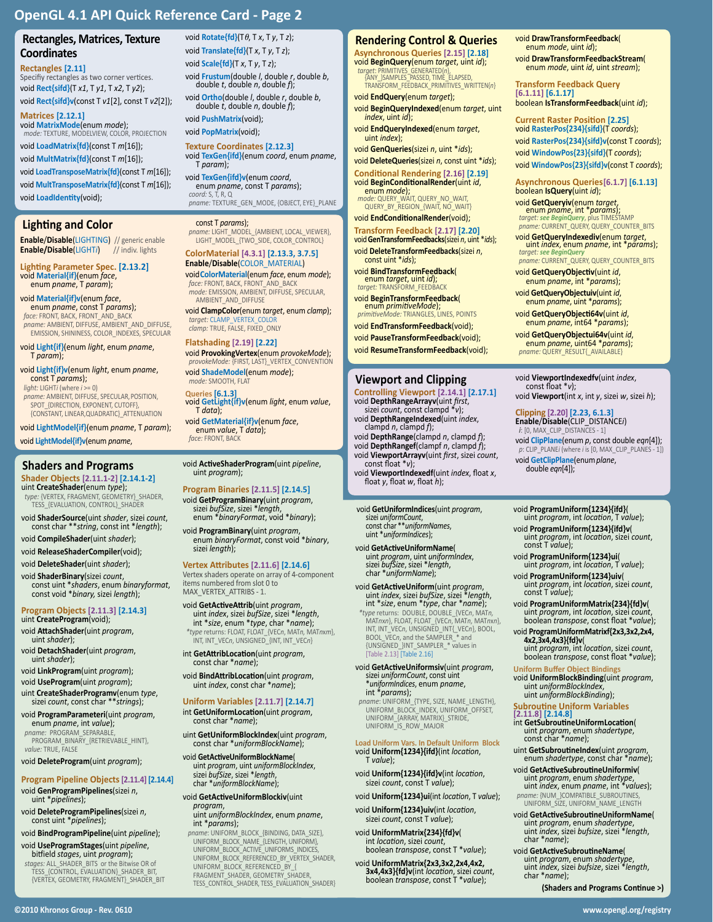# **Rectangles, Matrices, Texture Coordinates**

#### **Rectangles [2.11]**

Specifiy rectangles as two corner vertices. void **Rect{sifd}**(T *x1*, T *y1*, T *x2*, T *y2*); void **Rect{sifd}v**(const T *v1*[2], const T *v2*[2]);

**Matrices [2.12.1]**

void **MatrixMode**(enum *mode*); *mode:* TEXTURE, MODELVIEW, COLOR, PROJECTION

void **LoadMatrix{fd}**(const T *m*[16]); void **MultMatrix{fd}**(const T *m*[16]);

void **LoadTransposeMatrix{fd}**(const T *m*[16]); void **MultTransposeMatrix{fd}**(const T *m*[16]); void **LoadIdentity**(void);

# **Lighting and Color**

**Enable**/**Disable**(LIGHTING) // generic enable **Enable/Disable**(LIGHTi)

**Lighting Parameter Spec. [2.13.2]** void **Material{if}**(enum *face*, enum *pname*, T *param*);

# void **Material{if}v**(enum *face*, enum *pname*, const T *params*);

*face:* FRONT, BACK, FRONT\_AND\_BACK *pname:* AMBIENT, DIFFUSE, AMBIENT\_AND\_DIFFUSE, EMISSION, SHININESS, COLOR\_INDEXES, SPECULAR

void **Light{if}**(enum *light*, enum *pname*, T *param*);

void **Light{if}v**(enum *light*, enum *pname*, const T *params*);

*light:* LIGHT*i* (where *i* >= 0) *pname:* AMBIENT, DIFFUSE, SPECULAR,POSITION, SPOT\_{DIRECTION, EXPONENT, CUTOFF}, {CONSTANT, LINEAR,QUADRATIC}\_ATTENUATION

void **LightModel{if}**(enum *pname*, T *param*);

void **LightModel{if}v**(enum *pname*,

#### **Shader Objects [2.11.1-2] [2.14.1-2]** uint **CreateShader**(enum *type*);

*type:* {VERTEX, FRAGMENT, GEOMETRY}\_SHADER, TESS\_{EVALUATION, CONTROL}\_SHADER

void **ShaderSource**(uint *shader*, sizei *count*, const char \*\**string*, const int \**length*);

- void **CompileShader**(uint *shader*);
- void **ReleaseShaderCompiler**(void);
- void **DeleteShader**(uint *shader*);

void **ShaderBinary**(sizei *count*, const uint \**shaders*, enum *binaryformat*, const void \**binary,* sizei *length*);

#### **Program Objects [2.11.3] [2.14.3]** uint **CreateProgram**(void);

- void **AttachShader**(uint *program*, uint *shader*);
- void **DetachShader**(uint *program*, uint *shader*);
- void **LinkProgram**(uint *program*);
- void **UseProgram**(uint *program*);
- uint **CreateShaderProgramv**(enum *type*, sizei *count*, const char \*\**strings*);
- void **ProgramParameteri**(uint *program*, enum *pname*, int *value*);
- *pname:* PROGRAM\_SEPARABLE, PROGRAM\_BINARY\_{RETRIEVABLE\_HINT}, *value:* TRUE, FALSE
- void **DeleteProgram**(uint *program*);

# **Program Pipeline Objects [2.11.4] [2.14.4]**

- void **GenProgramPipelines**(sizei *<sup>n</sup>*, uint \**pipelines*);
- void **DeleteProgramPipelines**(sizei *<sup>n</sup>*, const uint \**pipelines*);

void **BindProgramPipeline**(uint *pipeline*);

- void **UseProgramStages**(uint *pipeline*, bitfield *stages*, uint *program*);
- *stages:* ALL\_SHADER\_BITS or the Bitwise OR of TESS\_{CONTROL, EVALUATION}\_SHADER\_BIT, {VERTEX, GEOMETRY, FRAGMENT}\_SHADER\_BIT

*void* **Rotate**{**fd**}(Tθ, T *x*, T *y*, T *z*); void **Translate{fd}**(T *x*, T *y*, T *z*); void **Scale{fd}**(T *x*, T *y*, T *z*); void **Frustum**(double *l*, double *r*, double *<sup>b</sup>*, double *<sup>t</sup>*, double *n*, double *f*);

void **Ortho**(double *l*, double *r*, double *<sup>b</sup>*, double *<sup>t</sup>*, double *n*, double *f*);

void **PushMatrix**(void);

void **PopMatrix**(void);

**Texture Coordinates [2.12.3]** void **TexGen{ifd}**(enum *coord*, enum *pname*, T *param*);

void **TexGen{ifd}v**(enum *coord*, enum *pname*, const T *params*); *coord:* S, T, R, Q *pname:* TEXTURE\_GEN\_MODE, {OBJECT, EYE}\_PLANE

const T *params*); *pname:* LIGHT\_MODEL\_{AMBIENT, LOCAL\_VIEWER}, LIGHT\_MODEL\_{TWO\_SIDE, COLOR\_CONTROL}

#### **ColorMaterial [4.3.1] [2.13.3, 3.7.5] Enable**/**Disable**(COLOR\_MATERIAL)

void**ColorMaterial**(enum *face*, enum *mode*); *face:* FRONT, BACK, FRONT\_AND\_BACK *mode:* EMISSION, AMBIENT, DIFFUSE, SPECULAR, AMBIENT\_AND\_DIFFUSE

void **ClampColor**(enum *target*, enum *clamp*); *target:* CLAMP\_VERTEX\_COLOR

*clamp:* TRUE, FALSE, FIXED\_ONLY

**Flatshading [2.19] [2.22]** void **ProvokingVertex**(enum *provokeMode*); *provokeMode:* {FIRST, LAST}\_VERTEX\_CONVENTION void **ShadeModel**(enum *mode*);

*mode:* SMOOTH, FLAT **Queries [6.1.3]** void **GetLight{if}v**(enum *light*, enum *value*, T *data*);

void **GetMaterial{if}v**(enum *face*, enum *value*, T *data*); *face:* FRONT, BACK

void **ActiveShaderProgram**(uint *pipeline*, uint *program*);

#### **Program Binaries [2.11.5] [2.14.5]**

- void **GetProgramBinary**(uint *program*, sizei *bufSize*, sizei \**length*, enum \**binaryFormat*, void \**binary*);
- void **ProgramBinary**(uint *program*, enum *binaryFormat*, const void \**binary*, sizei *length*);

#### **Vertex Attributes [2.11.6] [2.14.6]**

Vertex shaders operate on array of 4-component items numbered from slot 0 to MAX\_VERTEX\_ATTRIBS - 1.

- void **GetActiveAttrib**(uint *program*, uint *index*, sizei *bufSize*, sizei \**length*, int \**size*, enum \**type*, char \**name*); *\*type* returns: FLOAT, FLOAT\_{VEC*n*, MAT*n,* MAT*n*x*m*}, INT, INT\_VEC*n*, UNSIGNED\_{INT, INT\_VEC*n*}
- int **GetAttribLocation**(uint *program*, const char \**name*);
- void **BindAttribLocation**(uint *program*, uint *index*, const char \**name*);

#### **Uniform Variables [2.11.7] [2.14.7]**

- int **GetUniformLocation**(uint *program*, const char \**name*);
- uint **GetUniformBlockIndex**(uint *program*, const char \**uniformBlockName*);
- void **GetActiveUniformBlockName**( uint *program*, uint *uniformBlockIndex*, sizei *bufSize*, sizei \**length*, char \**uniformBlockName*);

# void **GetActiveUniformBlockiv**(uint

- *program*, uint *uniformBlockIndex*, enum *pname*, int \**params*);
- *pname*: UNIFORM\_BLOCK\_{BINDING, DATA\_SIZE}, UNIFORM\_BLOCK\_NAME\_{LENGTH, UNIFORM},<br>UNIFORM\_BLOCK\_ACTIVE\_UNIFORMS\_INDICES,<br>UNIFORM\_BLOCK\_REFERENCED\_BY\_VERTEX\_SHADER,<br>UNIFORM\_BLOCK\_REFERENCED\_BY\_{<br>FRAGMENT\_SHADER, GEOMETRY\_SHADER, TESS\_CONTROL\_SHADER, TESS\_EVALUATION\_SHADER}

**©2010 Khronos Group - Rev. 0610 www.opengl.org/registry** 

# **Rendering Control & Queries**

void **DrawTransformFeedback**( enum *mode*, uint *id*); void **DrawTransformFeedbackStream**( enum *mode*, uint *id*, uint *stream*);

**Transform Feedback Query [6.1.11] [6.1.17]** boolean **IsTransformFeedback**(uint *id*); **Current Raster Position [2.25]** void **RasterPos{234}{sifd}**(T *coords*); void **RasterPos{234}{sifd}v**(const T *coords*); void **WindowPos{23}{sifd}**(T *coords*); void **WindowPos{23}{sifd}v**(const T *coords*); **Asynchronous Queries[6.1.7] [6.1.13]**

boolean **IsQuery**(uint *id*);

void **GetQueryiv**(enum *target*, enum *pname*, int \**params*); *target: see BeginQuery*, plus TIMESTAMP *pname:* CURRENT\_QUERY, QUERY\_COUNTER\_BITS void **GetQueryIndexediv**(enum *target*, uint *index*, enum *pname*, int \**params*); *target: see BeginQuery pname:* CURRENT\_QUERY, QUERY\_COUNTER\_BITS

void **GetQueryObjectiv**(uint *id*, enum *pname*, int \**params*); void **GetQueryObjectuiv**(uint *id*, enum *pname*, uint \**params*); void **GetQueryObjecti64v**(uint *id*, enum *pname*, int64 \**params*);

void **GetQueryObjectui64v**(uint *id*, enum *pname*, uint64 \**params*); *pname:* QUERY\_RESULT{\_AVAILABLE}

void **ViewportIndexedfv**(uint *index*, const float \**<sup>v</sup>*); void **Viewport**(int *x*, int *y*, sizei *w*, sizei *h*);

**Clipping [2.20] [2.23, 6.1.3] Enable**/**Disable**(CLIP\_DISTANCE*i*) *i*: [0, MAX\_CLIP\_DISTANCES - 1]

void **ProgramUniform{1234}{ifd}**( uint *program*, int *location*, T *value*); void **ProgramUniform{1234}{ifd}v**( uint *program*, int *location*, sizei *count*, const T *value*); void **ProgramUniform{1234}ui**( uint *program*, int *location*, T *value*);

void **ProgramUniform{1234}uiv**( uint *program*, int *location*, sizei *count*, const T *value*); void **ProgramUniformMatrix{234}{fd}v**( uint *program*, int *location*, sizei *count*, boolean *transpose*, const float \**value*); void **ProgramUniformMatrixf{2x3,3x2,2x4, 4x2,3x4,4x3}{fd}v**( uint *program*, int *location*, sizei *count*, boolean *transpose*, const float \**value*);

void **UniformBlockBinding**(uint *program*, uint *uniformBlockIndex*, uint *uniformBlockBinding*);

**Subroutine Uniform Variables [2.11.8] [2.14.8]** int **GetSubroutineUniformLocation**( uint *program*, enum *shadertype*, const char \**name*); uint **GetSubroutineIndex**(uint *program*, enum *shadertype*, const char \**name*); void **GetActiveSubroutineUniformiv**( uint *program*, enum *shadertype*, uint *index*, enum *pname*, int \**values*); *pname:* {NUM\_}COMPATIBLE\_SUBROUTINES, UNIFORM\_SIZE, UNIFORM\_NAME\_LENGTH void **GetActiveSubroutineUniformName**( uint *program*, enum *shadertype*, uint *index*, sizei *bufsize*, sizei \**length*, char \**name*);

void **GetActiveSubroutineName**(

uint *program*, enum *shadertype*, uint *index*, sizei *bufsize*, sizei \**length*, char \**name*);

**(Shaders and Programs Continue >)**

**Uniform Buffer Object Bindings** 

void **ClipPlane**(enum *p*, const double *eqn*[4]); *p*: CLIP\_PLANE*i* (where *i* is [0, MAX\_CLIP\_PLANES - 1])

**Asynchronous Queries [2.15] [2.18]** void **BeginQuery**(enum *target*, uint *id*); *target*: PRIMITIVES\_GENERATED{*n*}, {ANY\_}SAMPLES\_PASSED, TIME\_ELAPSED,

TRANSFORM\_FEEDBACK\_PRIMITIVES\_WRITTEN{*n*} void **EndQuery**(enum *target*);

- void **BeginQueryIndexed**(enum *target*, uint *index*, uint *id*);
- void **EndQueryIndexed**(enum *target*, uint *index*);

void **GenQueries**(sizei *n*, uint \**ids*);

void **DeleteQueries**(sizei *n*, const uint \**ids*); **Conditional Rendering [2.16] [2.19]**

- void **Begins in ande);**<br>mode: QUERY\_WAIT, QUERY\_NO\_WAIT, QUERY\_BY\_REGION\_{WAIT, NO\_WAIT}
- void **EndConditionalRender**(void);

**Transform Feedback [2.17] [2.20]** void **GenTransformFeedbacks**(sizei *n*, uint \**ids*); void **DeleteTransformFeedbacks**(sizei *<sup>n</sup>*, const uint \**ids*);

void **BindTransformFeedback**( enum *target*, uint *id*);

- *target:* TRANSFORM\_FEEDBACK
- void **BeginTransformFeedback**( enum *primitiveMode*); *primitiveMode:* TRIANGLES, LINES, POINTS
- void **EndTransformFeedback**(void);

void **PauseTransformFeedback**(void);

void **ResumeTransformFeedback**(void);

### **Viewport and Clipping**

**Controlling Viewport [2.14.1] [2.17.1]** void **DepthRangeArrayv**(uint *first*, sizei *count*, const clampd \**v*);

void **DepthRangeIndexed**(uint *index*, clampd *<sup>n</sup>*, clampd *f*); void **DepthRange**(clampd *n*, clampd *f*); void **DepthRangef**(clampf *n*, clampd *f*);

**Shaders and Programs** void **ActiveShaderProgram**(uint *pipeline*, void ViewportArrayv(uint *first*, sizei *count*, void GetClipPlane(enum *plane*, const float \* double *eqn*[4]);<br>allot programs double eqn[4]); void **ViewportIndexedf**(uint *index*, float *<sup>x</sup>*, float *<sup>y</sup>*, float *w*, float *h*);

void **GetUniformIndices**(uint *program*, sizei *uniformCount*, const char \*\**uniformNames*, uint \**uniformIndices*);

void **GetActiveUniformName**( uint *program*, uint *uniformIndex*, sizei *bufSize*, sizei \**length*, char \**uniformName*);

void **GetActiveUniform**(uint program,<br>uint *index*, sizei bufSize, sizei \*length,<br>int \*size, enum \*type, char \*name);<br>\*type returns: DOUBLE, DOUBLE\_(VECn, MATn,<br>MATnxn), FLOAT, FLOAT\_{VECn, MATn, MATnxn}, INT, INT\_VEC*n*, UNSIGNED\_INT{\_VEC*n*}, BOOL, BOOL\_VEC*n*, and the SAMPLER\_\* and {UNSIGNED\_}INT\_SAMPLER\_\* values in [Table 2.13] [Table 2.16]

- void **GetActiveUniformsiv**(uint *program*, sizei *uniformCount*, const uint \**uniformIndices*, enum *pname*, int \**params*);
- *pname*: UNIFORM\_{TYPE, SIZE, NAME\_LENGTH}, UNIFORM\_BLOCK\_INDEX, UNIFORM\_OFFSET, UNIFORM\_{ARRAY, MATRIX}\_STRIDE, UNIFORM\_IS\_ROW\_MAJOR

## **Load Uniform Vars. In Default Uniform Block**  void **Uniform{1234}{ifd}**(int *location*, T *value*);

void **Uniform{1234}{ifd}v**(int *location*, sizei *count*, const T *value*); void **Uniform{1234}ui**(int *location*, T *value*);

void **Uniform{1234}uiv**(int *location*, sizei *count*, const T *value*);

void **UniformMatrix{234}{fd}v**(  $boolean$  *transpose*, const T \*value); void **UniformMatrix{2x3,3x2,2x4,4x2, 3x4,4x3}{fd}v**(int *location*, sizei *count*, boolean *transpose*, const T \**value*);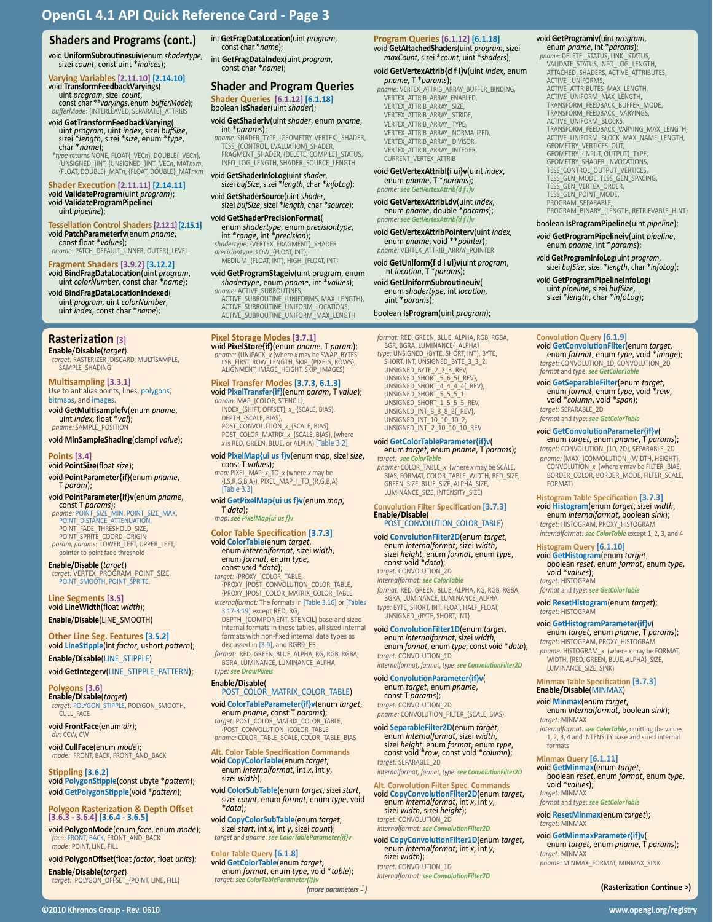### **Shaders and Programs (cont.)**

void **UniformSubroutinesuiv**(enum *shadertype*, sizei *count*, const uint \**indices*);

# **Varying Variables [2.11.10] [2.14.10]** void **TransformFeedbackVaryings**(

uint *program*, sizei *count*, const char \*\**varyings*, enum *bufferMode*); *bufferMode*: {INTERLEAVED, SEPARATE}\_ATTRIBS

void **GetTransformFeedbackVarying**<br>
uint *program*, uint *index*, sizei bufSize,<br>
sizei \*length, sizei \*size, enum \*type,<br>
char \*name);<br>
\*type returns NONE, FLOAT{\_VECn}, OOUBLE{\_VECn},<br>
{UNSIGNED\_NNT, {UNSIGNED\_INT\_VECn,

# **Shader Execution [2.11.11] [2.14.11]** void **ValidateProgram**(uint *program*);

void **ValidateProgramPipeline**( uint *pipeline*);

# **Tessellation Control Shaders [2.12.1] [2.15.1]** void **PatchParameterfv**(enum *pname*, const float \**values*);

*pname*: PATCH\_DEFAULT\_{INNER, OUTER}\_LEVEL

# **Fragment Shaders [3.9.2] [3.12.2]**

void **BindFragDataLocation**(uint *program*, uint *colorNumber*, const char \**name*); void **BindFragDataLocationIndexed**(

uint *index*, const char \**name*);

## **Rasterization [3]**

**Enable**/**Disable**(*target*) *target:* RASTERIZER\_DISCARD, MULTISAMPLE, SAMPLE\_SHADING

**Multisampling [3.3.1]** Use to antialias points, lines, polygons,<br>bitmaps, and images.

void **GetMultisamplefv**(enum *pname*, uint *index*, float \**val*); *pname:* SAMPLE\_POSITION

### void **MinSampleShading**(clampf *value*);

#### **Points [3.4]**

void **PointSize**(float *size*);

- void **PointParameter{if}**(enum *pname*, T *param*);
- void **PointParameter{if}v**(enum *pname*, const T *params*); *pname:* POINT\_SIZE\_MIN, POINT\_SIZE\_MAX, POINT\_DISTANCE\_ATTENUATION, POINT\_FADE\_THRESHOLD\_SIZE,
- POINT\_SPRITE\_COORD\_ORIGIN *param, params*: LOWER\_LEFT, UPPER\_LEFT, pointer to point fade threshold

**Enable/Disable** (*target*) *target:* VERTEX\_PROGRAM\_POINT\_SIZE, POINT\_SMOOTH, POINT\_SPRITE.

#### **Line Segments [3.5]** void **LineWidth**(float *width*); **Enable**/**Disable**(LINE\_SMOOTH)

**Other Line Seg. Features [3.5.2]** void **LineStipple**(int *factor*, ushort *pattern*);

**Enable/Disable**(LINE\_STIPPLE) void **GetIntegerv**(LINE\_STIPPLE\_PATTERN);

#### **Polygons [3.6]**

**Enable/Disable**(*target*) *target:* POLYGON\_STIPPLE, POLYGON\_SMOOTH, CULL\_FACE

void **FrontFace**(enum *dir*); *dir:* CCW, CW

void **CullFace**(enum *mode*); *mode:* FRONT, BACK, FRONT\_AND\_BACK

**Stippling [3.6.2]** void **PolygonStipple**(const ubyte \**pattern*); void **GetPolygonStipple**(void \**pattern*);

#### **Polygon Rasterization & Depth Offset [3.6.3 - 3.6.4] [3.6.4 - 3.6.5]**

void **PolygonMode**(enum *face*, enum *mode*); *face:* FRONT, BACK, FRONT\_AND\_BACK *mode*: POINT, LINE, FILL

void **PolygonOffset**(float *factor*, float *units*);

**Enable**/**Disable**(*target*) *target:* POLYGON\_OFFSET\_{POINT, LINE, FILL} int **GetFragDataLocation**(uint *program*, const char \**name*);

int **GetFragDataIndex**(uint *program*, const char \**name*);

### **Shader and Program Queries Shader Queries [6.1.12] [6.1.18]**

boolean **IsShader**(uint *shader*);

# void **GetShaderiv**(uint *shader*, enum *pname*, int \**params*); *pname:* SHADER\_TYPE, {GEOMETRY, VERTEX}\_SHADER,

TESS\_{CONTROL, EVALUATION}\_SHADER, FRAGMENT\_SHADER, {DELETE, COMPILE}\_STATUS, INFO\_LOG\_LENGTH, SHADER\_SOURCE\_LENGTH

void **GetShaderInfoLog**(uint *shader*, sizei *bufSize*, sizei \**length*, char \**infoLog*);

void **GetShaderSource**(uint *shader*, sizei *bufSize*, sizei \**length*, char \**source*);

void **GetShaderPrecisionFormat**( enum *shadertype,* enum *precisiontype,*<br>int \**range*, int \**precision*);<br>*shadertype:* {VERTEX, FRAGMENT}\_SHADER<br>*precisiontype:* LOW\_{FLOAT, INT}, MEDIUM\_{FLOAT, INT}, HIGH\_{FLOAT, INT}

void **GetProgramStageiv**(uint program, enum *shadertype*, enum *pname*, int \**values*);

*pname:* ACTIVE\_SUBROUTINES, ACTIVE\_SUBROUTINE\_{UNIFORMS, MAX\_LENGTH}, ACTIVE\_SUBROUTINE\_UNIFORM\_LOCATIONS, ACTIVE\_SUBROUTINE\_UNIFORM\_MAX\_LENGTH

#### **Pixel Storage Modes [3.7.1]** void **PixelStore{if}**(enum *pname*, T *param*);

*pname:* {UN}PACK\_*x* (where *x* may be SWAP\_BYTES, LSB\_FIRST, ROW\_LENGTH, SKIP\_{PIXELS, ROWS}, ALIGNMENT, IMAGE\_HEIGHT, SKIP\_IMAGES)

#### **Pixel Transfer Modes [3.7.3, 6.1.3]** void **PixelTransfer{if}**(enum *param*, T *value*);

*param:* MAP\_{COLOR, STENCIL}, INDEX\_{SHIFT, OFFSET}, *x*\_ {SCALE, BIAS}, DEPTH\_{SCALE, BIAS},

POST\_CONVOLUTION\_*x*\_{SCALE, BIAS}, POST\_COLOR\_MATRIX\_*x*\_{SCALE, BIAS}, (where *x* is RED, GREEN, BLUE, or ALPHA) [Table 3.2]

**void PixelMap{ui us f}v(enum** *map***, sizei** *size,***<br>** *const T values);***<br>** *map:* **PIXEL\_MAP\_x TO\_x (where x may be<br>
{I,S,R,G,B,A}), PIXEL\_MAP\_I\_TO\_{R,G,B,A}<br>
[Table 3.3]** 

# void **GetPixelMap{ui us f}v**(enum *map*, T *data*);

# *map: see PixelMap{ui us f}v*

**Color Table Specification [3.7.3]** value Color Table (enum *target*, enum *internalformat*, sizei *width*, enum *format*, enum *type*,

# *target:* {PROXY\_}COLOR\_TABLE, {PROXY\_}POST\_CONVOLUTION\_COLOR\_TABLE, {PROXY\_}POST\_COLOR\_MATRIX\_COLOR\_TABLE *internalformat:* The formats in [Table 3.16] or [Tables 3.17-3.19] except RED, RG,

DEPTH\_{COMPONENT, STENCIL} base and sized internal formats in those tables, all sized internal formats with non-fixed internal data types as discussed in [3.9], and RGB9\_E5. *format:* RED, GREEN, BLUE, ALPHA, RG, RGB, RGBA,

BGRA, LUMINANCE, LUMINANCE\_ALPHA *type: see DrawPixels*

### **Enable/Disable**(

POST\_COLOR\_MATRIX\_COLOR\_TABLE)

void **ColorTableParameter{if}v**(enum *target*, enum *pname*, const T *params*); *target:* POST\_COLOR\_MATRIX\_COLOR\_TABLE, target: POST\_COLOR\_MATRIX\_COLOR\_TA *pname:* COLOR\_TABLE\_SCALE, COLOR\_TABLE\_BIAS

**Alt. Color Table Specification Commands** void **CopyColorTable**(enum *target*, enum *internalformat*, int *x*, int *<sup>y</sup>*, sizei *width*);

void **ColorSubTable**(enum *target*, sizei *start*, sizei *count*, enum *format*, enum *type*, void \**data*);

void **CopyColorSubTable**(enum *target*, sizei *start*, int *x*, int *y*, sizei *count*); *target* and *pname*: *see ColorTableParameter{if}v*

**Color Table Query [6.1.8]** void **GetColorTable**(enum *target*, enum *format*, enum *type*, void \**table*); *target: see ColorTableParameter{if}v*

*(more parameters )*

#### **Program Queries [6.1.12] [6.1.18]** void **GetAttachedShaders**(uint *program*, sizei

*maxCount*, sizei \**count*, uint \**shaders*);

### void **GetVertexAttrib{d f i}v**(uint *index*, enum *pname*, T \**params*); *pname:* VERTEX\_ATTRIB\_ARRAY\_BUFFER\_BINDING, VERTEX\_ATTRIB\_ARRAY\_ENABLED,

VERTEX\_ATTRIB\_ARRAY\_ SIZE, VERTEX\_ATTRIB\_ARRAY\_ STRIDE, VERTEX\_ATTRIB\_ARRAY\_ TYPE, VERTEX\_ATTRIB\_ARRAY\_ NORMALIZED, VERTEX\_ATTRIB\_ARRAY\_ DIVISOR, VERTEX\_ATTRIB\_ARRAY\_ INTEGER, CURRENT\_VERTEX\_ATTRIB

void **GetVertexAttribl{i ui}v**(uint *index*, enum *pname*, T \**params*); *pname: see GetVertexAttrib{d f i}v*

void **GetVertexAttribLdv**(uint *index*, enum *pname*, double \**params*); *pname: see GetVertexAttrib{d f i}v*

void **GetVertexAttribPointerv**(uint *index*, enum *pname*, void \*\**pointer*); *pname:* VERTEX\_ATTRIB\_ARRAY\_POINTER

void **GetUniform{f d i ui}v**(uint *program*, int *location*, T \**params*);

void **GetUniformSubroutineuiv**( enum *shadertype*, int *location*, uint \**params*);

### boolean **IsProgram**(uint *program*);

*format:* RED, GREEN, BLUE, ALPHA, RGB, RGBA, BGR, BGRA, LUMINANCE{\_ALPHA} *type:* UNSIGNED\_{BYTE, SHORT, INT}, BYTE, SHORT, INT, UNSIGNED\_BYTE\_3\_3\_2,<br>UNSIGNED\_BYTE\_2\_3\_3\_REV,<br>UNSIGNED\_SHORT\_4\_4\_4\_4{\_REV},<br>UNSIGNED\_SHORT\_4\_4\_4 4{\_REV},<br>UNSIGNED\_SHORT\_1\_5\_5\_5\_REV,<br>UNSIGNED\_SHORT\_1\_5\_5\_5\_REV, UNSIGNED\_INT\_8\_8\_8\_8{REV}, UNSIGNED\_INT\_10\_10\_10\_2, UNSIGNED\_INT\_2\_10\_10\_10\_REV

#### void **GetColorTableParameter{if}v**( enum *target*, enum *pname*, T *params*);

*target: see ColorTable pname:* COLOR\_TABLE\_*x* (where *x* may be SCALE, BIAS, FORMAT, COLOR\_TABLE\_WIDTH, RED\_SIZE, GREEN\_SIZE, BLUE\_SIZE, ALPHA\_SIZE, LUMINANCE\_SIZE, INTENSITY\_SIZE)

#### **Convolution Filter Specification [3.7.3] Enable/Disable**( POST\_CONVOLUTION\_COLOR\_TABLE)

void **ConvolutionFilter2D**(enum *target*, enum *internalformat*, sizei *width*, sizei *height*, enum *format*, enum *type*, const void \**data*); *target:* CONVOLUTION\_2D

*internalformat: see ColorTable format:* RED, GREEN, BLUE, ALPHA, RG, RGB, RGBA,

BGRA, LUMINANCE, LUMINANCE\_ALPHA *type:* BYTE, SHORT, INT, FLOAT, HALF\_FLOAT, UNSIGNED\_{BYTE, SHORT, INT}

void **ConvolutionFilter1D**(enum *target*, enum *internalformat*, sizei *width*, enum *format*, enum *type*, const void \**data*); *target:* CONVOLUTION\_1D

*internalformat, format*, *type*: *see ConvolutionFilter2D* void **ConvolutionParameter{if}v**(

enum *target*, enum *pname*, const T *params*); *target:* CONVOLUTION\_2D

pname: CONVOLUTION\_FILTER\_{SCALE, BIAS}<br>void SeparableFilter2D(enum target,<br>enum internalformat, sizei width,

void **SeparableFilter2D**(enum *target*, enum *internalformat*, sizei *width*, sizei *height*, enum *format*, enum *type*, const void \**row*, const void \**column*); *target:* SEPARABLE\_2D

*internalformat, format*, *type*: *see ConvolutionFilter2D*

**Alt. Convolution Filter Spec. Commands** void **CopyConvolutionFilter2D**(enum *target*, enum *internalformat*, int *x*, int *<sup>y</sup>*, sizei *width*, sizei *height*); *target:* CONVOLUTION\_2D *internalformat: see ConvolutionFilter2D*

void **CopyConvolutionFilter1D**(enum *target*, enum *internalformat*, int *x*, int *<sup>y</sup>*, sizei *width*); *target:* CONVOLUTION\_1D

*internalformat: see ConvolutionFilter2D*

**©2010 Khronos Group - Rev. 0610 www.opengl.org/registry** 

void **GetProgramiv**(uint *program*,<br>
enum *pname*, int \**params*);<br> *pname*: DELETE \_STATUS, INK \_STATUS,<br>
VALIDATE\_STATUS, INFO\_LOG\_LENGTH,<br>
ATTACHED\_SHADERS, ACTIVE\_ATTRIBUTES, ACTIVE\_UNIFORMS,<br>ACTIVE\_ATTRIBUTES\_MAX\_LENGTH,<br>ACTIVE\_UNIFORM\_MAX\_LENGTH,<br>TRANSFORM\_FEEDBACK\_BUFFER\_MODE, TRANSFORM\_FEEDBACK\_ VARYINGS,<br>ACTIVE\_UNIFORM\_BLOCKS,<br>TRANSFORM\_FEEDBACK\_VARYING\_MAX\_LENGTH, ACTIVE\_UNIFORM\_BLOCK\_MAX\_NAME\_LENGTH,<br>GEOMETRY\_VERTICES\_OUT,<br>GEOMETRY\_{INPUT, OUTPUT}\_TYPE, GEOMETRY\_SHADER\_INVOCATIONS, TESS\_CONTROL\_OUTPUT\_VERTICES, TESS\_GEN\_MODE, TESS\_GEN\_SPACING, TESS\_GEN\_VERTEX\_ORDER, TESS\_GEN\_POINT\_MODE, PROGRAM\_SEPARABLE

#### PROGRAM\_BINARY\_{LENGTH, RETRIEVABLE\_HINT} boolean **IsProgramPipeline**(uint *pipeline*);

void **GetProgramPipelineiv**(uint *pipeline*, enum *pname*, int \**params*);

void **GetProgramInfoLog**(uint *program*, sizei *bufSize*, sizei \**length*, char \**infoLog*);

void **GetProgramPipelineInfoLog**( uint *pipeline*, sizei *bufSize*, sizei \**length*, char \**infoLog*);

void **GetConvolutionFilter**(enum *target*, enum *format*, enum *type*, void \**image*); *target:* CONVOLUTION\_1D, CONVOLUTION\_2D

void **GetSeparableFilter**(enum *target*, enum *format*, enum *type*, void \**row*, void \**column*, void \**span*);

**Histogram Table Specification [3.7.3]** void **Histogram**(enum *target*, sizei *width*, enum *internalformat*, boolean *sink*); *target:* HISTOGRAM, PROXY\_HISTOGRAM *internalformat: see ColorTable* except 1, 2, 3, and 4

**Histogram Query [6.1.10]**

*format* and *type*: *see GetColorTable* void **ResetHistogram**(enum *target*); *target:* HISTOGRAM void **GetHistogramParameter{if}v**( enum *target*, enum *pname*, T *params*); *target:* HISTOGRAM, PROXY\_HISTOGRAM *pname:* HISTOGRAM\_*x* (where *x* may be FORMAT, WIDTH, {RED, GREEN, BLUE, ALPHA}\_SIZE,

LUMINANCE\_SIZE, SINK)

*target:* MINMAX

void \**values*); *target:* MINMAX

*target:* MINMAX

*target:* MINMAX

formats

**Minmax Table Specification [3.7.3] Enable/Disable**(MINMAX) void **Minmax**(enum *target*, enum *internalformat*, boolean *sink*);

**Minmax Query [6.1.11]**

*format* and *type*: *see GetColorTable* void **ResetMinmax**(enum *target*);

void **GetMinmaxParameter{if}v**(

*pname:* MINMAX\_FORMAT, MINMAX\_SINK

*internalformat: see ColorTable*, omitting the values 1, 2, 3, 4 and INTENSITY base and sized internal

void **GetMinmax**(enum *target*, boolean *reset*, enum *format*, enum *type*,

enum *target*, enum *pname*, T *params*);

**(Rasterization Continue >)**

void **GetHistogram**(enum *target*, boolean *reset*, enum *format*, enum *type*, void \**values*);

**Convolution Query [6.1.9]**

*target:* SEPARABLE\_2D *format* and *type*: *see GetColorTable* void **GetConvolutionParameter{if}v**( enum *target*, enum *pname*, T *params*); *target:* CONVOLUTION\_{1D, 2D}, SEPARABLE\_2D pname: {MAX\_}CONVOLUTION\_{WIDTH, HEIGHT}, CONVOLUTION\_*x* (where *x* may be FILTER\_BIAS, BORDER\_COLOR, BORDER\_MODE, FILTER\_SCALE,

FORMAT)

*target:* HISTOGRAM

*format* and *type*: *see GetColorTable*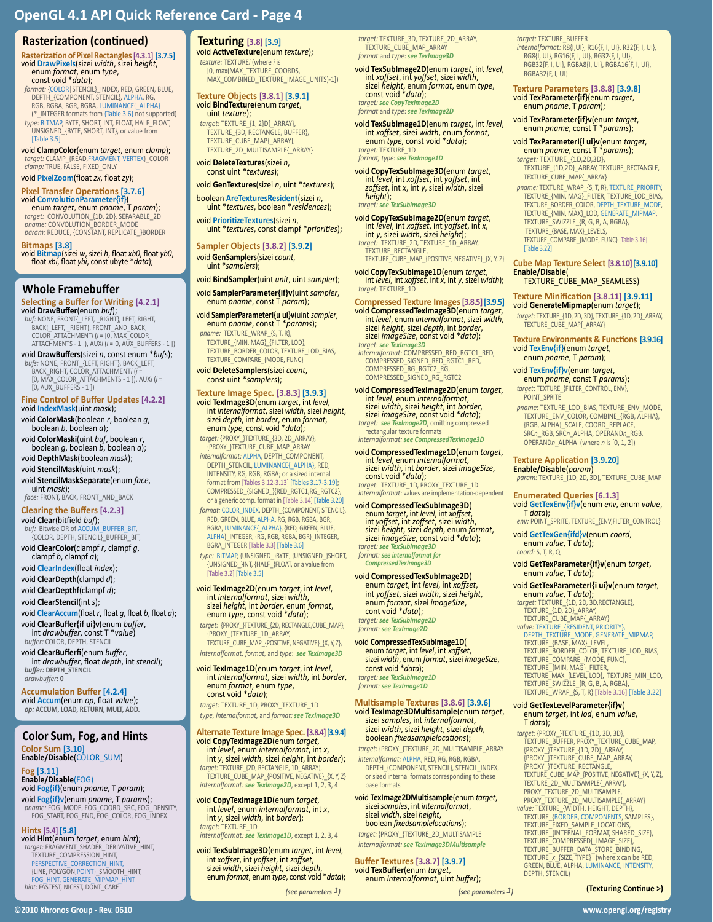### **Rasterization (continued)**

**Rasterization of Pixel Rectangles[4.3.1] [3.7.5]** void **DrawPixels**(sizei *width*, sizei *height*, enum *format*, enum *type*, const void \**data*);

*format:* {COLOR|STENCIL}\_INDEX, RED, GREEN, BLUE, DEPTH\_{COMPONENT, STENCIL}, ALPHA, RG, RGB, RGBA, BGR, BGRA, LUMINANCE{\_ALPHA} (\*\_INTEGER formats from {Table 3.6} not supported)

*type*: BITMAP, BYTE, SHORT, INT, FLOAT, HALF\_FLOAT, UNSIGNED\_{BYTE, SHORT, INT}, or value from [Table 3.5]

void **ClampColor**(enum *target*, enum *clamp*); *target:* CLAMP\_{READ,FRAGMENT, VERTEX}\_COLOR *clamp:* TRUE, FALSE, FIXED\_ONLY

void **PixelZoom**(float *zx*, float *zy*);

**Pixel Transfer Operations [3.7.6]** void **ConvolutionParameter{if}**( enum *target*, enum *pname*, T *param*);

*target:* CONVOLUTION\_{1D, 2D}, SEPARABLE\_2D *pname:* CONVOLUTION\_BORDER\_MODE *param:* REDUCE, {CONSTANT, REPLICATE\_}BORDER

**Bitmaps [3.8]**

void **Bitmap**(sizei *w*, sizei *h*, float *xb0*, float *yb0*, float *xbi*, float *ybi*, const ubyte \**data*);

#### **Whole Framebuffer**

**Selecting a Buffer for Writing [4.2.1]** void **DrawBuffer**(enum *buf*);

*buf:* NONE, FRONT{\_LEFT, \_RIGHT}, LEFT, RIGHT, BACK{\_LEFT, \_RIGHT}, FRONT\_AND\_BACK, COLOR\_ATTACHMENT*i* (*i* = [0, MAX\_COLOR\_ ATTACHMENTS - 1 ]), AUX*i* (*i* =[0, AUX\_BUFFERS - 1 ])

void **DrawBuffers**(sizei *n*, const enum \**bufs*);

*bufs:* NONE, FRONT\_{LEFT, RIGHT}, BACK\_LEFT, BACK\_RIGHT, COLOR\_ATTACHMENT*i* (*i* = [0, MAX\_COLOR\_ATTACHMENTS - 1 ]), AUX*i* (*i* =  $[0, AUX$  BUFFERS - 1 ])

**Fine Control of Buffer Updates [4.2.2]** void **IndexMask**(uint *mask*);

- void **ColorMask**(boolean *r*, boolean *<sup>g</sup>*, boolean *<sup>b</sup>*, boolean *a*);
- boolean *g*, boolean *b*, boolean *a*);

void **DepthMask**(boolean *mask*);

- void **StencilMask**(uint *mask*);
- void **StencilMaskSeparate**(enum *face*, uint *mask*); *face:* FRONT, BACK, FRONT\_AND\_BACK

**Clearing the Buffers [4.2.3]**

#### void **Clear**(bitfield *buf*);

buf: Bitwise OR of ACCUM BUFFER BIT {COLOR, DEPTH, STENCIL}\_BUFFER\_BIT,

void **ClearColor**(clampf *r*, clampf *<sup>g</sup>*, clampf *<sup>b</sup>*, clampf *a*);

void **ClearIndex**(float *index*);

void **ClearDepth**(clampd *d*);

void **ClearDepthf**(clampf *d*);

void **ClearStencil**(int *s*);

void **ClearAccum**(float *r*, float *g*, float *b*, float *a*); void **ClearBuffer{if ui}v**(enum *buffer*, int *drawbuffer*, const T \**value*)

*buffer:* COLOR, DEPTH, STENCIL

void **ClearBufferfi**(enum *buffer*, int *drawbuffer*, float *depth*, int *stencil*); *buffer:* **DEPTH\_STENCIL** *drawbuffer***: 0** 

**Accumulation Buffer [4.2.4]** void **Accum**(enum *op*, float *value*); *op:* **ACCUM, LOAD, RETURN, MULT, ADD.**

# **Color Sum, Fog, and Hints**

**Color Sum [3.10] Enable/Disable**(COLOR\_SUM)

**Fog [3.11] Enable/Disable**(FOG)

void **Fog{if}**(enum *pname*, T *param*);

void **Fog{if}v**(enum *pname*, T *params*); *pname:* FOG\_MODE, FOG\_COORD\_SRC, FOG\_DENSITY, FOG\_START, FOG\_END, FOG\_COLOR, FOG\_INDEX

**Hints [5.4] [5.8]**

void **Hint**(enum *target*, enum *hint*); *target:* FRAGMENT\_SHADER\_DERIVATIVE\_HINT, TEXTURE\_COMPRESSION\_HINT, PERSPECTIVE\_CORRECTION\_HINT, {LINE, POLYGON,POINT}\_SMOOTH\_HINT, FOG\_HINT, GENERATE\_MIPMAP\_HINT *hint:* FASTEST, NICEST, DONT\_CARE

# **Texturing [3.8] [3.9]**

void **ActiveTexture**(enum *texture*); *texture:* TEXTURE*i* (where *i* is [0, max(MAX\_TEXTURE\_COORDS, MAX\_COMBINED\_TEXTURE\_IMAGE\_UNITS)-1])

**Texture Objects [3.8.1] [3.9.1]** void **BindTexture**(enum *target*, uint *texture*);

*target:* TEXTURE\_{1, 2}D{\_ARRAY}, TEXTURE\_{3D, RECTANGLE, BUFFER}, TEXTURE\_CUBE\_MAP{\_ARRAY}, TEXTURE\_2D\_MULTISAMPLE{\_ARRAY}

void **DeleteTextures**(sizei *<sup>n</sup>*, const uint \**textures*);

void **GenTextures**(sizei *n*, uint \**textures*);

boolean **AreTexturesResident**(sizei *<sup>n</sup>*, uint \**textures*, boolean \**residences*);

void **PrioritizeTextures**(sizei *<sup>n</sup>*, uint \**textures*, const clampf \**priorities*);

**Sampler Objects [3.8.2] [3.9.2]** void **GenSamplers**(sizei *count*, uint \**samplers*);

void **BindSampler**(uint *unit*, uint *sampler*);

void **SamplerParameter{if}v**(uint *sampler*, enum *pname*, const T *param*);

void **SamplerParameterI{u ui}v**(uint *sampler*, enum *pname*, const T \**params*);

- *pname:* TEXTURE\_WRAP\_{S, T, R}, TEXTURE\_{MIN, MAG}\_{FILTER, LOD}, TEXTURE\_BORDER\_COLOR, TEXTURE\_LOD\_BIAS, TEXTURE\_COMPARE\_{MODE, FUNC}
- void **DeleteSamplers**(sizei *count*, const uint \**samplers*);

**Texture Image Spec. [3.8.3] [3.9.3]**

int internalformat, sizei width, sizei height,<br>sizei depth, int border, enum format,<br>enum type, const void \*data); *target:* {PROXY\_}TEXTURE\_{3D, 2D\_ARRAY}, {PROXY\_}TEXTURE\_CUBE\_MAP\_ARRAY *internalformat:* ALPHA, DEPTH\_COMPONENT, DEPTH\_STENCIL, LUMINANCE{\_ALPHA}, RED, INTENSITY, RG, RGB, RGBA; or a sized internal format from [Tables 3.12-3.13] [Tables 3.17-3.19]; COMPRESSED\_{SIGNED\_}{RED\_RGTC1,RG\_RGTC2},

or a generic comp. format in [Table 3.14] [Table 3.20] *format:* COLOR\_INDEX, DEPTH\_{COMPONENT, STENCIL}, RED, GREEN, BLUE, ALPHA, RG, RGB, RGBA, BGR, BGRA, LUMINANCE{\_ALPHA}, {RED, GREEN, BLUE, ALPHA}\_INTEGER, {RG, RGB, RGBA, BGR}\_INTEGER, BGRA\_INTEGER [Table 3.3] [Table 3.6]

*type:* BITMAP, {UNSIGNED\_}BYTE, {UNSIGNED\_}SHORT, {UNSIGNED\_}INT, {HALF\_}FLOAT, or a value from [Table 3.2] [Table 3.5]

void **TexImage2D**(enum *target*, int *level*, int *internalformat*, sizei *width*, sizei *height*, int *border*, enum *format*, enum *type*, const void \**data*);

*target:* {PROXY\_}TEXTURE\_{2D, RECTANGLE,CUBE\_MAP}, FROXY TEXTURE 1D ARRAY, TEXTURE\_CUBE\_MAP\_{POSITIVE, NEGATIVE}\_{X, Y, Z}, *internalformat, format,* and *type*: *see TexImage3D*

void **TexImage1D**(enum *target*, int *level*, int *internalformat*, sizei *width*, int *border*, enum *format*, enum *type*, const void \**data*);

*target:* TEXTURE\_1D, PROXY\_TEXTURE\_1D *type, internalformat,* and *format: see TexImage3D*

# **Alternate Texture Image Spec. [3.8.4] [3.9.4]**

- void **CopyTexImage2D**(enum *target*, int *level*, enum *internalformat*, int *<sup>x</sup>*, int *<sup>y</sup>*, sizei *width*, sizei *height*, int *border*); *target:* TEXTURE\_{2D, RECTANGLE, 1D\_ARRAY}, TEXTURE\_CUBE\_MAP\_{POSITIVE, NEGATIVE}\_{X, Y, Z}
- *internalformat: see TexImage2D*, except 1, 2, 3, 4
- void **CopyTexImage1D**(enum *target*, int *level*, enum *internalformat*, int *<sup>x</sup>*, int *<sup>y</sup>*, sizei *width*, int *border*); *target:* TEXTURE\_1D *internalformat: see TexImage1D*, except 1, 2, 3, 4

void TexSubImage3D(enum target, int level,<br>int xoffset, int yoffset, int zoffset,<br>sizei width, sizei height, sizei depth,<br>enum format, enum type, const void \*data);

**©2010 Khronos Group - Rev. 0610 www.opengl.org/registry** 

*target:* TEXTURE\_3D, TEXTURE\_2D\_ARRAY, TEXTURE\_CUBE\_MAP\_ARRAY *format* and *type*: *see TexImage3D*

void **TexSubImage2D**(enum *target*, int *level*, int *xoffset*, int *yoffset*, sizei *width*, sizei *height*, enum *format*, enum *type*, const void \**data*); *target: see CopyTexImage2D*

*format* and *type*: *see TexImage2D*

void **TexSubImage1D**(enum *target*, int *level*, int *xoffset*, sizei *width*, enum *format*, enum *type*, const void \**data*); *target:* TEXTURE\_1D *format, type*: *see TexImage1D*

void **CopyTexSubImage3D**(enum *target*, int *level*, int *xoffset*, int *yoffset*, int *zoffset*, int *x*, int *y*, sizei *width*, sizei *height*); *target: see TexSubImage3D*

void **CopyTexSubImage2D**(enum *target*, int *level*, int *xoffset*, int *yoffset*, int *<sup>x</sup>*, int *<sup>y</sup>*, sizei *width*, sizei *height*); *target:* TEXTURE\_2D, TEXTURE\_1D\_ARRAY,

TEXTURE\_RECTANGLE,<br>TEXTURE\_CUBE\_MAP\_{POSITIVE, NEGATIVE}\_{X, Y, Z}

void **CopyTexSubImage1D**(enum *target*, int *level*, int *xoffset*, int *x*, int *y*, sizei *width*); *target:* TEXTURE\_1D

- **Compressed Texture Images [3.8.5] [3.9.5]** void **CompressedTexImage3D**(enum *target,*<br>int *level,* enum *internalformat, sizei width,*<br>sizei *height, sizei depth, int border,*<br>sizei *imageSize,* const void \*data);<br>*target: see TexImage3D*<br>*internalformat:* COMPRESS
- COMPRESSED\_RG\_RGTC2\_RG COMPRESSED\_SIGNED\_RG\_RGTC2

void **CompressedTexImage2D**(enum *target*, int *level*, enum *internalformat*, sizei *width*, sizei *height*, int *border*, sizei *imageSize*, const void \**data*);

*target: see TexImage2D*, omitting compressed rectangular texture formats *internalformat: see CompressedTexImage3D*

void **CompressedTexImage1D**(enum target,<br>int level, enum internalformat,<br>sizei width, int border, sizei imageSize,<br>const void \*data);<br>target: TEXTURE\_1D, PROXY\_TEXTURE\_1D

*internalformat:* values are implementation-dependent

void **CompressedTexSubImage3D**<br>
enum *target*, int *level*, int *xoffset*,<br>
int *yoffset*, int *zoffset*, sizei *width*,<br>
sizei *height*, sizei *depth*, enum *format*,<br>
sizei *imageSize*, const void \*data); *target: see TexSubImage3D format: see internalformat for CompressedTexImage3D*

- void **CompressedTexSubImage2D**( enum *target*, int *level*, int *xoffset*, int *yoffset*, sizei *width*, sizei *height*, enum *format*, sizei *imageSize*, cont void \**data*); *target: see TexSubImage2D format: see TexImage2D*
- void **CompressedTexSubImage1D**( enum *target*, int *level*, int *xoffset*, sizei *width*, enum *format*, sizei *imageSize*, const void \**data*); *target: see TexSubImage1D format: see TexImage1D*

**Multisample Textures [3.8.6] [3.9.6]**<br>void **Teximage3DMultisample**(enum *target,*<br>sizei *samples,* int *internalformat,*<br>sizei *width,* sizei *height, sizei depth,*<br>boolean *fixedsamplelocations*);

*target:* {PROXY\_}TEXTURE\_2D\_MULTISAMPLE\_ARRAY *internalformat:* ALPHA, RED, RG, RGB, RGBA, DEPTH\_{COMPONENT, STENCIL}, STENCIL\_INDEX, or sized internal formats corresponding to these base formats

void **TexImage2DMultisample**(enum *target*, sizei *samples*, int *internalformat*, sizei *width*, sizei *height*, boolean *fixedsamplelocations*); *target:* {PROXY\_}TEXTURE\_2D\_MULTISAMPLE *internalformat: see TexImage3DMultisample*

**Buffer Textures [3.8.7] [3.9.7]** void **TexBuffer**(enum *target*, enum *internalformat*, uint *buffer*);

*(see parameters ) (see parameters )*

*target:* TEXTURE\_BUFFER

*internalformat:* R8{I,UI}, R16{F, I, UI}, R32{F, I, UI}, RG8{I, UI}, RG16{F, I, UI}, RG32{F, I, UI}, RGB32{F, I, UI}, RGBA8{I, UI}, RGBA16{F, I, UI}, RGBA32{F, I, UI}

# **Texture Parameters [3.8.8] [3.9.8]** void **TexParameter{if}**(enum *target*, enum *pname*, T *param*);

void **TexParameter{if}v**(enum *target*, enum *pname*, const T \**params*);

# void **TexParameterI{i ui}v**(enum *target*, enum *pname*, const T \**params*);

[Table 3.22]

**Enable/Disable**(

POINT\_SPRITE

*coord:* S, T, R, Q

*target:* TEXTURE\_{1D,2D,3D}, TEXTURE\_{1D,2D}\_ARRAY, TEXTURE\_RECTANGLE, TEXTURE\_CUBE\_MAP{\_ARRAY}

*pname:* TEXTURE\_WRAP\_{S, T, R}, TEXTURE\_PRIORITY, TEXTURE\_{MIN, MAG}\_FILTER, TEXTURE\_LOD\_BIAS, TEXTURE\_BORDER\_COLOR, DEPTH\_TEXTURE\_MODE, TEXTURE\_{MIN, MAX}\_LOD, GENERATE\_MIPMAP, TEXTURE\_SWIZZLE\_{R, G, B, A, RGBA}, TEXTURE\_{BASE, MAX}\_LEVELS, TEXTURE\_COMPARE\_{MODE, FUNC} [Table 3.16]

**Cube Map Texture Select [3.8.10][3.9.10]**

**Texture Environments & Functions [3.9.16]** void **TexEnv{if}**(enum *target*, enum *pname*, T *param*);

*pname*: TEXTURE\_LOD\_BIAS, TEXTURE\_ENV\_MODE, TEXTURE\_ENV\_COLOR, COMBINE\_{RGB, ALPHA}, {RGB, ALPHA}\_SCALE, COORD\_REPLACE, SRC*n*\_RGB, SRC*n*\_ALPHA, OPERAND*n*\_RGB, OPERAND*n*\_ALPHA (where *n* is [0, 1, 2]) **Texture Application [3.9.20] Enable/Disable**(*param*)

*param:* TEXTURE\_{1D, 2D, 3D}, TEXTURE\_CUBE\_MAP

void **GetTexEnv{if}v**(enum *env*, enum *value*, T *data*); *env:* POINT\_SPRITE, TEXTURE\_{ENV,FILTER\_CONTROL}

**Enumerated Queries [6.1.3]**

void **GetTexGen{ifd}v**(enum *coord*, enum *value*, T *data*);

void **GetTexParameter{if}v**(enum *target*, enum *value*, T *data*);

**void GetTexParameterI{i ui}v(enum target,<br>
enum value, T data);<br>
target: TEXTURE (10, 20, 30,RECTANGLE),<br>
TEXTURE (10, 20) ARRAY,<br>
TEXTURE (10, 20) ARRAY,<br>
TEXTURE (IESIDENT, PRIORITY),<br>
DEPTH\_TEXTURE (IESIDENT, PRIORITY)** 

{PROXY\_}TEXTURE\_{1D, 2D}\_ARRAY,<br>{PROXY\_}TEXTURE\_CUBE\_MAP\_ARRAY,<br>{PROXY\_}TEXTURE\_RECTANGLE,<br>TEXTURE\_CUBE\_MAP\_{POSITIVE, NEGATIVE}\_{X, Y, Z},<br>TEXTURE\_2D\_MULTISAMPLE{\_ARRAY},

PROXY\_TEXTURE\_2D\_MULTISAMPLE, PROXY\_TEXTURE\_2D\_MULTISAMPLE{\_ARRAY}

*value:* TEXTURE\_{WIDTH, HEIGHT, DEPTH}, TEXTURE\_{BORDER, COMPONENTS, SAMPLES}, TEXTURE\_FIXED\_SAMPLE\_LOCATIONS, TEXTURE\_{INTERNAL\_FORMAT, SHARED\_SIZE},

TEXTURE\_COMPRESSED{\_IMAGE\_SIZE},<br>TEXTURE\_BUFFER\_DATA\_STORE\_BINDING,<br>TEXTURE\_x\_{SIZE, TYPE} (where x can be RED,<br>GREEN, BLUE, ALPHA, LUMINANCE, INTENSITY,

**(Texturing Continue >)**

DEPTH, STENCIL)

void **GetTexLevelParameter{if}v**( enum *target*, int *lod*, enum *value*, T *data*); *target:* {PROXY\_}TEXTURE\_{1D, 2D, 3D}, TEXTURE\_BUFFER, PROXY\_TEXTURE\_CUBE\_MAP,

**TEXTURE\_CUBE\_MAP\_SEAMLESS) Texture Minification [3.8.11] [3.9.11]** void **GenerateMipmap**(enum *target*); *target:* TEXTURE\_{1D, 2D, 3D}, TEXTURE\_{1D, 2D}\_ARRAY,

TEXTURE\_CUBE\_MAP{\_ARRAY}

void **TexEnv{if}v**(enum *target*, enum *pname*, const T *params*); *target*: TEXTURE\_{FILTER\_CONTROL, ENV},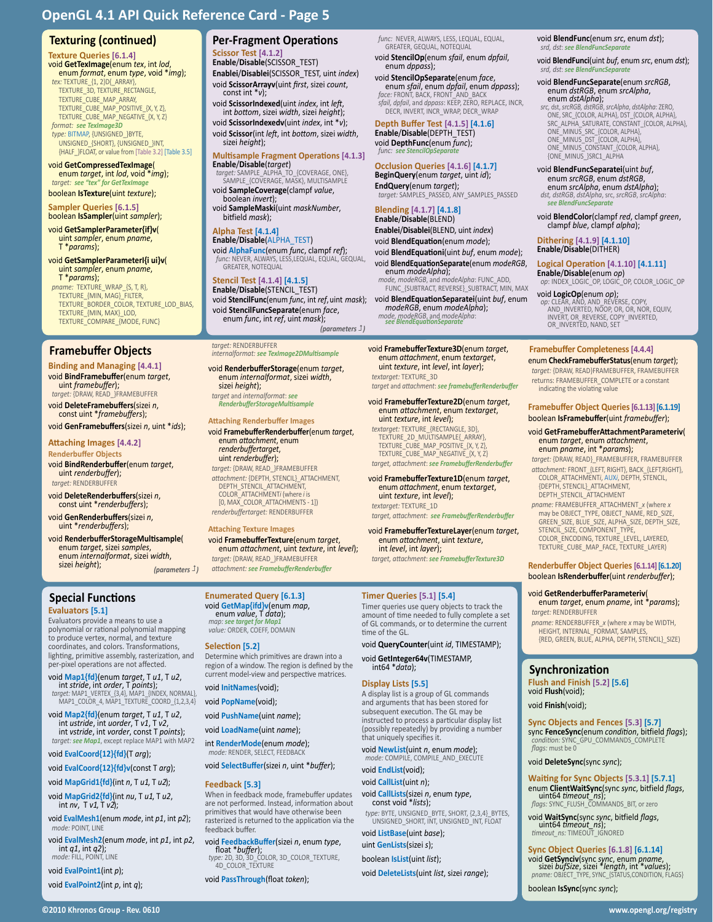# **Texturing (continued)**

**Texture Queries [6.1.4]**<br>void GetTexImage(enum tex, int lod, void **GetTexImage**(enum *tex*, int *lod*, enum *format*, enum *type*, void \**img*); *tex:* TEXTURE\_{1, 2}D{\_ARRAY}, TEXTURE\_3D, TEXTURE\_RECTANGLE,<br>TEXTURE\_CUBE\_MAP\_ARRAY,<br>TEXTURE\_CUBE\_MAP\_POSITIVE\_{X, Y, Z}, TEXTURE\_CUBE\_MAP\_NEGATIVE\_{X, Y, Z} *format: see TexImage3D*

*type:* BITMAP, {UNSIGNED\_}BYTE, UNSIGNED\_{SHORT}, {UNSIGNED\_}INT, {HALF\_}FLOAT, or value from [Table 3.2] [Table 3.5]

void **GetCompressedTexImage**( enum *target*, int *lod*, void \**img*); *target: see "tex" for GetTexImage*

boolean **IsTexture**(uint *texture*);

**Sampler Queries [6.1.5]**

boolean **IsSampler**(uint *sampler*);

void **GetSamplerParameter{if}v**( uint *sampler*, enum *pname*, T \**params*);

void **GetSamplerParameterI{i ui}v**( uint *sampler*, enum *pname*, T \**params*);

*pname:* TEXTURE\_WRAP\_{S, T, R}, TEXTURE\_{MIN, MAG}\_FILTER, TEXTURE\_BORDER\_COLOR, TEXTURE\_LOD\_BIAS, TEXTURE\_{MIN, MAX}\_LOD, TEXTURE\_COMPARE\_{MODE, FUNC}

# **Framebuffer Objects**

**Binding and Managing [4.4.1]** void **BindFramebuffer**(enum *target*, **uint framebuffer);**<br>target: {DRAW, READ\_}FRAMEBUFFER

void **DeleteFramebuffers**(sizei *<sup>n</sup>*, const uint \**framebuffers*);

void **GenFramebuffers**(sizei *n*, uint \**ids*);

#### **Attaching Images [4.4.2] Renderbuffer Objects**

void **BindRenderbuffer**(enum *target*, uint *renderbuffer*); *target:* RENDERBUFFER

void **DeleteRenderbuffers**(sizei *<sup>n</sup>*, const uint \**renderbuffers*);

void **GenRenderbuffers**(sizei *<sup>n</sup>*, uint \**renderbuffers*);

void **RenderbufferStorageMultisample**( enum *target*, sizei *samples*, enum *internalformat*, sizei *width*, sizei *height*); *(parameters )*

## **Special Functions**

#### **Evaluators [5.1]**

Evaluators provide a means to use a polynomial or rational polynomial mapping to produce vertex, normal, and texture coordinates, and colors. Transformations, lighting, primitive assembly, rasterization, and per-pixel operations are not affected.

void Map1{fd}{enum *target,* T *u1,* T *u2,*<br>int *stride,* int *order,* T *points*);<br>*target:* MAP1\_VERTEX\_{3,4}, MAP1\_{INDEX, NORMAL},<br>MAP1\_COLOR\_4, MAP1\_TEXTURE\_COORD\_{1,2,3,4}

void **Map2{fd}**(enum *target*, T *u1*, T *u2*, int *ustride*, int *uorder*, T *v1*, T *v2*, int *vstride*, int *vorder*, const T *points*);

*target: see Map1*, except replace MAP1 with MAP2

#### void **EvalCoord{12}{fd}**(T *arg*);

void **EvalCoord{12}{fd}v**(const T *arg*);

void **MapGrid1{fd}**(int *n*, T *u1*, T *u2*);

void **MapGrid2{fd}**(int *nu*, T *u1*, T *u2*, int *nv*, T *v1*, T *v2*);

void **EvalMesh1**(enum *mode*, int *p1*, int *p2*); *mode:* POINT, LINE

void **EvalMesh2**(enum *mode*, int *p1*, int *p2*, int *q1*, int *q2*); *mode:* FILL, POINT, LINE

void **EvalPoint1**(int *p*);

void **EvalPoint2**(int *p*, int *q*);

# **Per-Fragment Operations**

**Scissor Test [4.1.2] Enable**/**Disable**(SCISSOR\_TEST) **Enablei**/**Disablei**(SCISSOR\_TEST, uint *index*) void **ScissorArrayv**(uint *first*, sizei *count*, const int \**<sup>v</sup>*);

void **ScissorIndexed**(uint *index*, int *left*, int *bottom*, sizei *width*, sizei *height*); void **ScissorIndexedv**(uint *index*, int \**v*);

void **Scissor**(int *left*, int *bottom*, sizei *width*, sizei *height*);

# **Multisample Fragment Operations [4.1.3]**

**Enable**/**Disable**(*target*) *target:* SAMPLE\_ALPHA\_TO\_{COVERAGE, ONE}, SAMPLE\_{COVERAGE, MASK}, MULTISAMPLE

void **SampleCoverage**(clampf *value*, boolean *invert*);

void **SampleMaski**(uint *maskNumber*, bitfield *mask*);

**Alpha Test [4.1.4] Enable**/**Disable**(ALPHA\_TEST)

void **AlphaFunc**(enum *func*, clampf *ref*); *func:* NEVER, ALWAYS, LESS,LEQUAL, EQUAL, GEQUAL, GREATER, NOTEQUAL

# **Stencil Test [4.1.4] [4.1.5] Enable**/**Disable**(STENCIL\_TEST)

void **StencilFunc**(enum *func*, int *ref*, uint *mask*); void **StencilFuncSeparate**(enum *face*, enum *func*, int *ref*, uint *mask*);

*(parameters )*

#### *target:* RENDERBUFFER *internalformat: see TexImage2DMultisample*

void **RenderbufferStorage**(enum *target*, enum *internalformat*, sizei *width*, sizei *height*);

*target* and *internalformat*: *see RenderbufferStorageMultisample*

## **Attaching Renderbuffer Images**

void **FramebufferRenderbuffer**(enum *target*, enum *attachment*, enum *<u>uint renderbuffer</u>*); *target:* {DRAW, READ\_}FRAMEBUFFER *attachment:* {DEPTH, STENCIL}\_ATTACHMENT, DEPTH\_STENCIL\_ATTACHMENT, COLOR\_ATTACHMENT*i* (where *i* is [0, MAX\_COLOR\_ATTACHMENTS - 1]) *renderbuffertarget:* RENDERBUFFER

**Attaching Texture Images** void **FramebufferTexture**(enum *target*, enum *attachment*, uint *texture*, int *level*); *target:* {DRAW, READ\_}FRAMEBUFFER

*attachment: see FramebufferRenderbuffer*

**Enumerated Query [6.1.3]** void **GetMap{ifd}v**(enum *map*, enum *value*, T *data*); *map: see target for Map.* 

# *value:* ORDER, COEFF, DOMAIN

### **Selection [5.2]**

Determine which primitives are drawn into a region of a window. The region is defined by the current model-view and perspective matrices.

#### void **InitNames**(void);

void **PopName**(void);

void **PushName**(uint *name*);

void **LoadName**(uint *name*);

int **RenderMode**(enum *mode*);

*mode:* RENDER, SELECT, FEEDBACK void **SelectBuffer**(sizei *n*, uint \**buffer*);

#### **Feedback [5.3]** When in feedback mode, framebuffer updates are not performed. Instead, information about primitives that would have otherwise been rasterized is returned to the application via the feedback buffer.

void **FeedbackBuffer**(sizei *n*, enum *type*, float \**buffer*); *type:* 2D, 3D, 3D\_COLOR, 3D\_COLOR\_TEXTURE,

4D\_COLOR\_TEXTURE

void **PassThrough**(float *token*);

*func:* NEVER, ALWAYS, LESS, LEQUAL, EQUAL, GREATER, GEQUAL, NOTEQUAL

void **StencilOp**(enum *sfail*, enum *dpfail*, enum *dppass*);

void **StencilOpSeparate**(enum *face*, enum *sfail*, enum *dpfail*, enum *dppass*);

*face:* FRONT, BACK, FRONT\_AND\_BACK *sfail, dpfail*, and *dppass*: KEEP, ZERO, REPLACE, INCR, DECR, INVERT, INCR\_WRAP, DECR\_WRAP

#### **Depth Buffer Test [4.1.5] [4.1.6] Enable**/**Disable**(DEPTH\_TEST) void **DepthFunc**(enum *func*); func:

## **Occlusion Queries [4.1.6] [4.1.7]**

**BeginQuery**(enum *target*, uint *id*); **EndQuery**(enum *target*); *target:* SAMPLES\_PASSED, ANY\_SAMPLES\_PASSED

**Blending [4.1.7] [4.1.8] Enable**/**Disable**(BLEND)

**Enablei**/**Disablei**(BLEND, uint *index*) void **BlendEquation**(enum *mode*); void **BlendEquationi**(uint *buf*, enum *mode*); void **BlendEquationSeparate**(enum *modeRGB*, enum *modeAlpha*);

*mode, modeRGB*, and *modeAlpha*: FUNC\_ADD, FUNC\_{SUBTRACT, REVERSE}\_SUBTRACT, MIN, MAX

> **Framebuffer Completeness [4.4.4]** enum **CheckFramebufferStatus**(enum *target*); *target:* {DRAW, READ}FRAMEBUFFER, FRAMEBUFFER returns: FRAMEBUFFER\_COMPLETE or a constant

OR\_INVERTED, NAND, SET

void **BlendFunc**(enum *src*, enum *dst*); *srd, dst*: *see BlendFuncSeparate*

void **BlendFuncSeparate**(enum *srcRGB*, enum *dstRGB*, enum *srcAlpha*, enum *dstAlpha*);

ONE\_MINUS\_SRC\_{COLOR, ALPHA}, ONE\_MINUS\_DST\_{COLOR, ALPHA}, ONE\_MINUS\_CONSTANT\_{COLOR, ALPHA}, {ONE\_MINUS\_}SRC1\_ALPHA

void **BlendFuncSeparatei**(uint *buf*, enum *srcRGB*, enum *dstRGB*, enum *srcAlpha*, enum *dstAlpha*);  $dst.$   $dstRGB$ ,  $dstAlpha$ ,  $src$ ,  $srcRGB$ ,  $srcAll$ *see BlendFuncSeparate*

**Dithering [4.1.9] [4.1.10] Enable**/**Disable**(DITHER)

void **BlendColor**(clampf *red*, clampf *green*, clampf *blue*, clampf *alpha*);

**Logical Operation [4.1.10] [4.1.11] Enable**/**Disable**(enum *op*) *op*: INDEX\_LOGIC\_OP, LOGIC\_OP, COLOR\_LOGIC\_OP

**void LogicOp(enum** *op***);**<br> *op:* CLEAR, AND, AND\_REVERSE, COPY,<br>
AND\_INVERTED, NOOP, OR, OR, NOR, EQUIV,<br>
INVERT, OR\_REVERSE, COPY\_INVERTED,

*srd, dst*: *see BlendFuncSeparate*

void **BlendFunci**(uint *buf*, enum *src*, enum *dst*);

*src,* dst, *srcRGB, dstRGB*, *srcAlpha*, *dstAlpha*: ZERO, ONE, SRC\_{COLOR, ALPHA}, DST\_{COLOR, ALPHA}, SRC\_ALPHA\_SATURATE, CONSTANT\_{COLOR, ALPHA},

**Framebuffer Object Queries [6.1.13] [6.1.19]** boolean **IsFramebuffer**(uint *framebuffer*); void **GetFramebufferAttachmentParameteriv**( enum *target*, enum *attachment*, enum *pname*, int \**params*); *target:* {DRAW, READ}\_FRAMEBUFFER, FRAMEBUFFER *attachment:* FRONT\_{LEFT, RIGHT}, BACK\_{LEFT,RIGHT}, COLOR\_ATTACHMENT*i*, AUX*i*, DEPTH, STENCIL,

indicating the violating value

{DEPTH, STENCIL}\_ATTACHMENT, DEPTH\_STENCIL\_ATTACHMENT *pname:* FRAMEBUFFER\_ATTACHMENT\_*x* (where *x* may be OBJECT\_TYPE, OBJECT\_NAME, RED\_SIZE, GREEN\_SIZE, BLUE\_SIZE, ALPHA\_SIZE, DEPTH\_SIZE, STENCIL\_SIZE, COMPONENT\_TYPE, COLOR\_ENCODING, TEXTURE\_LEVEL, LAYERED, TEXTURE\_CUBE\_MAP\_FACE, TEXTURE\_LAYER) **Renderbuffer Object Queries [6.1.14] [6.1.20]** boolean **IsRenderbuffer**(uint *renderbuffer*); void **GetRenderbufferParameteriv**( enum *target*, enum *pname*, int \**params*);

*target:* RENDERBUFFER

**Synchronization Flush and Finish [5.2] [5.6]**

void **Flush**(void); void **Finish**(void);

*flags:* must be 0

void **DeleteSync**(sync *sync*);

boolean **IsSync**(sync *sync*);

*pname:* RENDERBUFFER\_*x* (where *x* may be WIDTH, HEIGHT, INTERNAL\_FORMAT, SAMPLES, {RED, GREEN, BLUE, ALPHA, DEPTH, STENCIL}\_SIZE)

**Sync Objects and Fences [5.3] [5.7]** sync **FenceSync**(enum *condition*, bitfield *flags*); *condition:* SYNC\_GPU\_COMMANDS\_COMPLETE

**Waiting for Sync Objects [5.3.1] [5.7.1]** enum **ClientWaitSync**(sync *sync*, bitfield *flags*, *flags: SYNC\_FLUSH\_COMMANDS\_BIT, or zero*<br>*flags: SYNC\_FLUSH\_COMMANDS\_BIT, or zero* woid WaitSync(sync *sync*, bitfield *flags*, *timeout\_ns*);<br>*timeout\_ns:* TIMEOUT\_IGNORED

**Sync Object Queries [6.1.8] [6.1.14]** void **GetSynciv**(sync *sync*, enum *pname*, sizei *bufSize*, sizei \**length*, int \**values*); *pname:* OBJECT\_TYPE, SYNC\_{STATUS,CONDITION, FLAGS}

void **BlendEquationSeparatei**(uint *buf*, enum *modeRGB*, enum *modeAlpha*); *mode, modeRGB*, and *modeAlpha*: *see BlendEquationSeparate*

void **FramebufferTexture3D**(enum *target*, enum *attachment*, enum *textarget*, uint *texture*, int *level*, int *layer*); *textarget:* TEXTURE\_3D

*target* and *attachment*: *see framebufferRenderbuffer*

void **FramebufferTexture2D**(enum *target*, enum *attachment*, enum *textarget*, uint *texture*, int *level*);

*textarget:* TEXTURE\_{RECTANGLE, 3D}, TEXTURE\_2D\_MULTISAMPLE{\_ARRAY}, TEXTURE\_CUBE\_MAP\_POSITIVE\_{X, Y, Z}, TEXTURE\_CUBE\_MAP\_NEGATIVE\_{X, Y, Z} *target, attachment*: *see FramebufferRenderbuffer*

# void **FramebufferTexture1D**(enum *target*, enum *attachment*, enum *textarget*, uint *texture*, int *level*); *textarget:* TEXTURE\_1D

*target, attachment*: *see FramebufferRenderbuffer*

void **FramebufferTextureLayer**(enum *target*, enum *attachment*, uint *texture*, int *level*, int *layer*);

*target, attachment*: *see FramebufferTexture3D*

#### **Timer Queries [5.1] [5.4]**

Timer queries use query objects to track the amount of time needed to fully complete a set of GL commands, or to determine the current time of the GL

void **QueryCounter**(uint *id*, TIMESTAMP);

void **GetInteger64v**(TIMESTAMP, int64 \**data*);

#### **Display Lists [5.5]**

A display list is a group of GL commands and arguments that has been stored for subsequent execution. The GL may be instructed to process a particular display list (possibly repeatedly) by providing a number that uniquely specifies it.

void **NewList**(uint *n*, enum *mode*); *mode:* COMPILE, COMPILE\_AND\_EXECUTE

void **EndList**(void); void **CallList**(uint *n*);

void **CallLists**(sizei *n*, enum *type*, const void \**lists*);

void **DeleteLists**(uint *list*, sizei *range*);

*type:* BYTE, UNSIGNED\_BYTE, SHORT, {2,3,4}\_BYTES, UNSIGNED\_SHORT, INT, UNSIGNED\_INT, FLOAT void **ListBase**(uint *base*);

uint **GenLists**(sizei *s*); boolean **IsList**(uint *list*);

**©2010 Khronos Group - Rev. 0610 www.opengl.org/registry**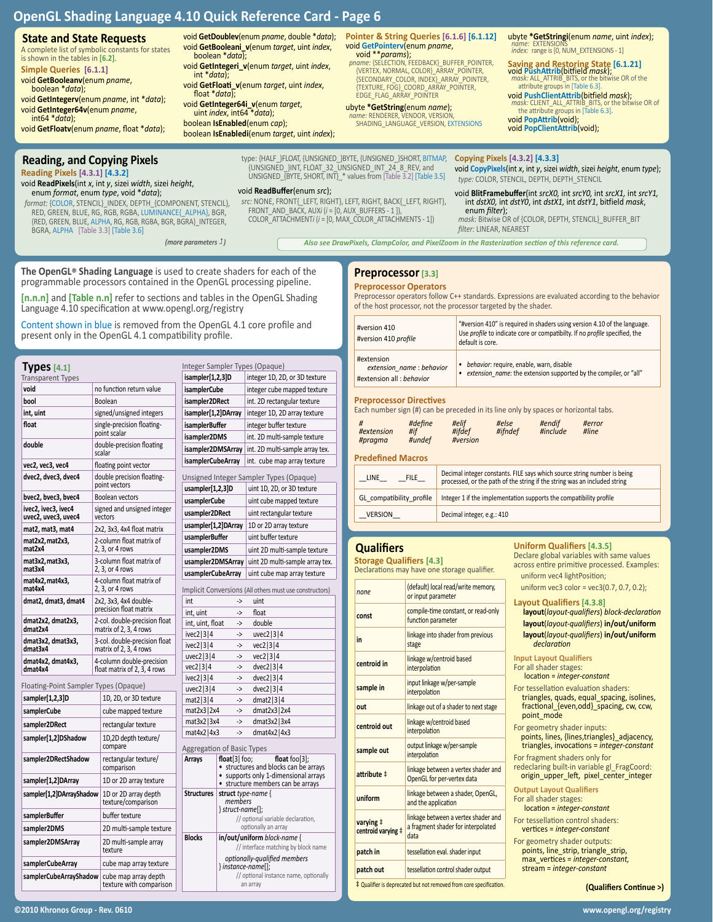# **State and State Requests**

A complete list of symbolic constants for states is shown in the tables in **[6.2]**. **Simple Queries [6.1.1]**

void **GetBooleanv**(enum *pname*, boolean \**data*);

void **GetIntegerv**(enum *pname*, int \**data*); void **GetInteger64v**(enum *pname*, int64 \**data*);

void **GetFloatv**(enum *pname*, float \**data*);

# **Reading, and Copying Pixels**

**Reading Pixels [4.3.1] [4.3.2]**

void **ReadPixels**(int *x*, int *y*, sizei *width*, sizei *height*, enum *format*, enum *type*, void \**data*);

*format:* {COLOR, STENCIL}\_INDEX, DEPTH\_{COMPONENT, STENCIL}, RED, GREEN, BLUE, RG, RGB, RGBA, LUMINANCE{\_ALPHA}, BGR, {RED, GREEN, BLUE, ALPHA, RG, RGB, RGBA, BGR, BGRA}\_INTEGER, BGRA, ALPHA [Table 3.3] [Table 3.6]

*(more parameters )*

void **GetDoublev**(enum *pname*, double \**data*); void **GetBooleani\_v**(enum *target*, uint *index*, boolean \**data*);

void **GetIntegeri\_v**(enum *target*, uint *index*, int \**data*);

void **ReadBuffer**(enum *src*);

type: {HALF\_}FLOAT, {UNSIGNED\_}BYTE, {UNSIGNED\_}SHORT, BITMAP, {UNSIGNED\_}INT, FLOAT\_32\_UNSIGNED\_INT\_24\_8\_REV, and UNSIGNED\_{BYTE, SHORT, INT}\_\* values from [Table 3.2] [Table 3.5]

*src:* NONE, FRONT{\_LEFT, RIGHT}, LEFT, RIGHT, BACK{\_LEFT, RIGHT}, FRONT\_AND\_BACK, AUX*i* (*i* = [0, AUX\_BUFFERS - 1 ]), COLOR\_ATTACHMENT*i* (*i* = [0, MAX\_COLOR\_ATTACHMENTS - 1])

void **GetFloati\_v**(enum *target*, uint *index*, float \**data*);

void **GetInteger64i\_v**(enum *target*, uint *index*, int64 \**data*);

boolean **IsEnabled**(enum *cap*); boolean **IsEnabledi**(enum *target*, uint *index*); **Pointer & String Queries [6.1.6] [6.1.12]**

void **GetPointerv**(enum *pname*, void \*\**params*); *pname:* {SELECTION, FEEDBACK}\_BUFFER\_POINTER, {VERTEX, NORMAL, COLOR}\_ARRAY\_POINTER, {SECONDARY\_COLOR, INDEX}\_ARRAY\_POINTER, {TEXTURE, FOG}\_COORD\_ARRAY\_POINTER, EDGE\_FLAG\_ARRAY\_POINTER

# ubyte **\*GetString**(enum *name*);

*name:* RENDERER, VENDOR, VERSION, SHADING\_LANGUAGE\_VERSION, EXTENSIONS

ubyte **\*GetStringi**(enum *name*, uint *index*); *name:* EXTENSIONS *index:* range is [0, NUM\_EXTENSIONS - 1]

**Saving and Restoring State [6.1.21]** void PushAttrib(bitfield *mask*); *attribute groups in [Table 6.3]*.<br>attribute groups in [Table 6.3].<br>**void PushClientAttrib(bitfield** *mask***);** 

void **PushClientAttrib**(bitfield *mask*); *mask:* CLIENT\_ALL\_ATTRIB\_BITS, or the bitwise OR of the attribute groups in [Table 6.3].

void **PopAttrib**(void); void **PopClientAttrib**(void);

#### **Copying Pixels [4.3.2] [4.3.3]**

void **CopyPixels**(int *x*, int *y*, sizei *width*, sizei *height*, enum *type*); *type:* COLOR, STENCIL, DEPTH, DEPTH\_STENCIL

void **BlitFramebuffer**(int *srcX0,* int *srcY0,* int *srcX1,* int *srcY1,* int *dstX0,* int *dstY0*, int *dstX1,* int *dstY1*, bitfield *mask*, enum *filter*);

*mask:* Bitwise OR of {COLOR, DEPTH, STENCIL}\_BUFFER\_BIT *filter:* LINEAR, NEAREST

*Also see DrawPixels, ClampColor, and PixelZoom in the Rasterization section of this reference card.*

**The OpenGL® Shading Language** is used to create shaders for each of the programmable processors contained in the OpenGL processing pipeline.

**[n.n.n]** and **[Table n.n]** refer to sections and tables in the OpenGL Shading Language 4.10 specification at www.opengl.org/registry

Content shown in blue is removed from the OpenGL 4.1 core profile and present only in the OpenGL 4.1 compatibility profile.

## **Types[4.1]**

| <b>Transparent Types</b>                      |                                                         |                                                           | isample                 |
|-----------------------------------------------|---------------------------------------------------------|-----------------------------------------------------------|-------------------------|
| void                                          |                                                         | no function return value                                  | isample                 |
| bool                                          |                                                         | Boolean                                                   | isample                 |
| int, uint                                     |                                                         | signed/unsigned integers                                  | isample                 |
| float                                         |                                                         | single-precision floating-<br>point scalar                | isample<br>isample      |
| double                                        |                                                         | double-precision floating<br>scalar                       | isample                 |
| vec2, vec3, vec4                              |                                                         | floating point vector                                     | isample                 |
| dvec2, dvec3, dvec4                           |                                                         | double precision floating-<br>point vectors               | Unsigne<br>usample      |
| bvec2, bvec3, bvec4                           |                                                         | Boolean vectors                                           | usample                 |
| ivec2, ivec3, ivec4<br>uvec2, uvec3, uvec4    |                                                         | signed and unsigned integer<br>vectors                    | usample                 |
| mat2, mat3, mat4                              |                                                         | 2x2, 3x3, 4x4 float matrix                                | usample                 |
| mat2x2, mat2x3,<br>mat2x4                     |                                                         | 2-column float matrix of<br>2, 3, or 4 rows               | usample<br>usampl       |
| mat3x2, mat3x3,<br>mat3x4                     |                                                         | 3-column float matrix of<br>2, 3, or 4 rows               | usampl<br>usampl        |
| mat4x2, mat4x3,<br>mat4x4                     | 4-column float matrix of<br>2, 3, or 4 rows             |                                                           | Implicit                |
| dmat2, dmat3, dmat4                           | 2x2, 3x3, 4x4 double-<br>precision float matrix         |                                                           | int<br>int, uint        |
| dmat2x2, dmat2x3,<br>dmat2x4                  | 2-col. double-precision float<br>matrix of 2, 3, 4 rows |                                                           | int, uint               |
| dmat3x2, dmat3x3,<br>dmat3x4                  | 3-col. double-precision float<br>matrix of 2, 3, 4 rows |                                                           | ivec2 3<br>ivec2 3      |
| dmat4x2, dmat4x3,<br>dmat4x4                  |                                                         | 4-column double-precision<br>float matrix of 2, 3, 4 rows | $u$ vec $2$  <br>vec2 3 |
| Floating-Point Sampler Types (Opaque)         |                                                         |                                                           | ivec2 3<br>$u$ vec2 $ $ |
| sampler[1,2,3]D                               |                                                         | 1D, 2D, or 3D texture                                     | mat2 3                  |
| samplerCube                                   |                                                         | cube mapped texture                                       | mat <sub>2x3</sub>      |
| sampler2DRect                                 |                                                         | rectangular texture                                       | mat3x2                  |
| sampler[1,2]DShadow                           |                                                         | 1D,2D depth texture/<br>compare                           | mat4x2                  |
| sampler2DRectShadow                           |                                                         | rectangular texture/<br>comparison                        | Aggrega<br>Arrays       |
| sampler[1,2]DArray                            |                                                         | 1D or 2D array texture                                    |                         |
| sampler[1,2]DArrayShadow                      |                                                         | 1D or 2D array depth<br>texture/comparison                | Structu                 |
| samplerBuffer                                 |                                                         | buffer texture                                            |                         |
| sampler2DMS                                   |                                                         | 2D multi-sample texture                                   |                         |
| sampler2DMSArray                              |                                                         | 2D multi-sample array<br>texture                          | <b>Blocks</b>           |
| samplerCubeArray                              |                                                         | cube map array texture                                    |                         |
| samplerCubeArrayShadow   cube map array depth |                                                         |                                                           |                         |

|                                                                                                                                                                 |                                                                | Integer Sampler Types (Opaque)                                                                                                                                        |
|-----------------------------------------------------------------------------------------------------------------------------------------------------------------|----------------------------------------------------------------|-----------------------------------------------------------------------------------------------------------------------------------------------------------------------|
| isampler[1,2,3]D                                                                                                                                                |                                                                | integer 1D, 2D, or 3D texture                                                                                                                                         |
| isamplerCube                                                                                                                                                    |                                                                | integer cube mapped texture                                                                                                                                           |
| isampler2DRect                                                                                                                                                  |                                                                | int. 2D rectangular texture                                                                                                                                           |
| isampler[1,2]DArray                                                                                                                                             |                                                                | integer 1D, 2D array texture                                                                                                                                          |
| <b>isamplerBuffer</b>                                                                                                                                           |                                                                | integer buffer texture                                                                                                                                                |
| isampler2DMS                                                                                                                                                    |                                                                | int. 2D multi-sample texture                                                                                                                                          |
| isampler2DMSArray                                                                                                                                               |                                                                | int. 2D multi-sample array tex.                                                                                                                                       |
| <b>isamplerCubeArray</b>                                                                                                                                        |                                                                | int. cube map array texture                                                                                                                                           |
|                                                                                                                                                                 |                                                                | Unsigned Integer Sampler Types (Opaque)                                                                                                                               |
| usampler[1,2,3]D                                                                                                                                                |                                                                | uint 1D, 2D, or 3D texture                                                                                                                                            |
| usamplerCube                                                                                                                                                    |                                                                | uint cube mapped texture                                                                                                                                              |
| usampler2DRect                                                                                                                                                  |                                                                | uint rectangular texture                                                                                                                                              |
| usampler[1,2]DArray                                                                                                                                             |                                                                | 1D or 2D array texture                                                                                                                                                |
| usamplerBuffer                                                                                                                                                  |                                                                | uint buffer texture                                                                                                                                                   |
| usampler2DMS                                                                                                                                                    |                                                                | uint 2D multi-sample texture                                                                                                                                          |
| usampler2DMSArray                                                                                                                                               |                                                                | uint 2D multi-sample array tex.                                                                                                                                       |
| usamplerCubeArray                                                                                                                                               |                                                                | uint cube map array texture                                                                                                                                           |
| int, uint, float<br>ivec2 3 4<br>ivec2 3 4<br>uvec2 $ 3 4$<br>vec2 3 4<br>ivec2 3 4<br>uvec2 $ 3 4$<br>mat2 3 4<br>$mat2x3$   2x4<br>mat3x2 3x4<br>mat4x2   4x3 | -><br>-><br>-><br>-><br>-><br>-><br>-><br>-><br>-><br>-><br>-> | double<br>$u$ vec2 $ 3 4$<br>vec2 3 4<br>vec2 3 4<br>dvec2 $ 3 4$<br>$dvec2$ 3 4<br>$dvec2$ 3 4<br>dmat2 $ 3 4$<br>dmat $2x3$   $2x4$<br>dmat3x2 3x4<br>dmat4x2   4x3 |
| Aggregation of Basic Types                                                                                                                                      |                                                                |                                                                                                                                                                       |
| <b>Arrays</b>                                                                                                                                                   | float[3] foo;<br>$\bullet$<br>$\bullet$                        | float foo $[3]$ ;<br>structures and blocks can be arrays<br>supports only 1-dimensional arrays<br>structure members can be arrays                                     |
| <b>Structures</b>                                                                                                                                               | struct type-name {<br>members<br>$\}$ struct-name $[]$ ;       | // optional variable declaration,<br>optionally an array                                                                                                              |
| <b>Blocks</b>                                                                                                                                                   |                                                                | in/out/uniform block-name {<br>// interface matching by block name                                                                                                    |
|                                                                                                                                                                 | $\}$ instance-name[];                                          | optionally-qualified members<br>// optional instance name, optionally                                                                                                 |

an array

## **Preprocessor[3.3]**

#### **Preprocessor Operators**

Preprocessor operators follow C++ standards. Expressions are evaluated according to the behavior of the host processor, not the processor targeted by the shader.

| #version 410<br>#version 410 profile                                | "#version 410" is required in shaders using version 4.10 of the language.<br>Use profile to indicate core or compatibilty. If no profile specified, the<br>default is core. |  |  |
|---------------------------------------------------------------------|-----------------------------------------------------------------------------------------------------------------------------------------------------------------------------|--|--|
| #extension<br>extension name: behavior<br>#extension all : behavior | behavior: require, enable, warn, disable<br>extension name: the extension supported by the compiler, or "all"                                                               |  |  |

#### **Preprocessor Directives**

Each number sign (#) can be preceded in its line only by spaces or horizontal tabs.

| #<br>#if<br>#extension<br>#pragma<br><b>Predefined Macros</b> | #define<br>#undef | #elif<br>#ifdef<br>#version                                        | #else<br>#ifndef | #endif<br>#include | #error<br>#line                                                                                                                                       |
|---------------------------------------------------------------|-------------------|--------------------------------------------------------------------|------------------|--------------------|-------------------------------------------------------------------------------------------------------------------------------------------------------|
| LINE                                                          | <b>FILE</b>       |                                                                    |                  |                    | Decimal integer constants. FILE says which source string number is being<br>processed, or the path of the string if the string was an included string |
| GL compatibility profile                                      |                   | Integer 1 if the implementation supports the compatibility profile |                  |                    |                                                                                                                                                       |

VERSION Decimal integer, e.g.: 410

## **Qualifiers**

**Storage Qualifiers [4.3]** Declarations may have one storage qualifier.

*none* (default) local read/write memory, or input parameter **const** compile-time constant, or read-only function parameter **in** linkage into shader from previous stage **centroid in linkage w/centroid based** interpolation **sample in** input linkage w/per-sample interpolation

**centroid out** linkage w/centroid based interpolation sample out<br>**sample out** interpolation **attribute**  $\ddagger$  linkage between a vertex shader and OpenGL for per-vertex data **uniform** linkage between a shader, OpenGL, and the application

data **patch in** tessellation eval. shader input **patch out** tessellation control shader output ‡ Qualifier is deprecated but not removed from core specification.

linkage between a vertex shader and a fragment shader for interpolated

**varying** ‡ **centroid varying** ‡

#### **Uniform Qualifiers [4.3.5]**

Declare global variables with same values across entire primitive processed. Examples: uniform vec4 lightPosition;

uniform vec3 color = vec3(0.7, 0.7, 0.2);

| <b>Lavout Qualifiers [4.3.8]</b>            |
|---------------------------------------------|
| layout(layout-qualifiers) block-declaration |
| layout(layout-qualifiers) in/out/uniform    |
| layout(layout-qualifiers) in/out/uniform    |

- triangles, quads, equal\_spacing, isolines, fractional\_{even,odd}\_spacing, cw, ccw, point\_mode
- For geometry shader inputs:
- points, lines, {lines,triangles}\_adjacency, triangles, invocations = *integer-constant*
- For fragment shaders only for
- redeclaring built-in variable gl\_FragCoord: origin\_upper\_left, pixel\_center\_integer

**Output Layout Qualifiers** For all shader stages:

location = *integer-constant*

- For tessellation control shaders: vertices = *integer-constant*
- For geometry shader outputs: points, line\_strip, triangle\_strip, max\_vertices = *integer-constant,*  stream = *integer-constant*

**(Qualifiers Continue >)**

texture with comparison

# **out** linkage out of a shader to next stage **layout**(*layout-qualifiers*) **in/out/uniform** *declaration* **Input Layout Qualifiers** For all shader stages: location = *integer-constant* For tessellation evaluation shaders: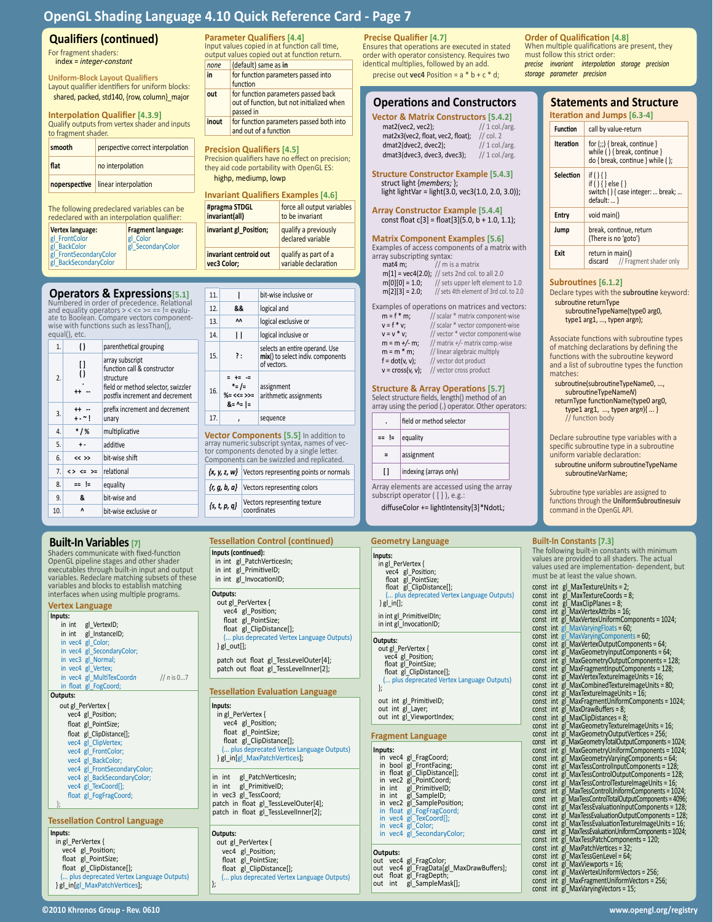**Parameter Qualifiers [4.4]**<br>Input values copied in at function call time, output values copied out at function return.

**out** for function parameters passed back out of function, but not initialized when

**inout** for function parameters passed both into and out of a function **Precision Qualifiers [4.5]**

Precision qualifiers have no effect on precision; they aid code portability with OpenGL ES: highp, mediump, lowp

**Invariant Qualifiers Examples [4.6]**

**invariant gl\_Position;** qualify a previously

force all output variables to be invariant

declared variable

qualify as part of a variable declaration

*none* (default) same as **in in** for function parameters passed into

function

passed in

**#pragma STDGL invariant(all)**

**invariant centroid out vec3 Color;**

# **Qualifiers (continued)**

For fragment shaders: index = *integer-constant*

**Uniform-Block Layout Qualifiers** Layout qualifier identifiers for uniform blocks: shared, packed, std140, {row, column}\_major

**Interpolation Qualifier [4.3.9]** Qualify outputs from vertex shader and inputs to fragment shader.

| smooth | perspective correct interpolation  |
|--------|------------------------------------|
| flat   | no interpolation                   |
|        | noperspective linear interpolation |

The following predeclared variables can be redeclared with an interpolation qualifier:

| Vertex language:       | <b>Fragment language:</b> |
|------------------------|---------------------------|
| gl FrontColor          | gl Color                  |
| gl BackColor           | gl SecondaryColor         |
| gl FrontSecondaryColor |                           |
| gl BackSecondaryColor  |                           |

| <b>Operators &amp; Expressions</b> [5.1]    |  |  |
|---------------------------------------------|--|--|
| Numbered in order of precedence. Relational |  |  |

| 1.  | $\left( \right)$                               | parenthetical grouping                                                             |     |     |                                 |    |
|-----|------------------------------------------------|------------------------------------------------------------------------------------|-----|-----|---------------------------------|----|
| []  | array subscript<br>function call & constructor |                                                                                    | 15. | ?:  |                                 |    |
| 2.  | $\mathcal{O}$<br>++ --                         | structure<br>field or method selector, swizzler<br>postfix increment and decrement |     | 16. | = += -<br>*= /=<br>$% = << = >$ |    |
| 3.  |                                                | prefix increment and decrement                                                     |     |     | $8 = 1$                         |    |
|     | +-~!                                           | unary                                                                              |     | 17. | ,                               |    |
| 4.  | $*1%$                                          | multiplicative                                                                     |     |     | <b>Vector Com</b>               |    |
| 5.  | $+ -$                                          | additive                                                                           |     |     | array numeric<br>tor componen   |    |
| 6.  | $<<$ >>                                        | bit-wise shift                                                                     |     |     | Components o                    |    |
| 7.  | $555 = 52$                                     | relational                                                                         |     |     | $\{x, y, z, w\}$                | Ve |
| 8.  | ≕ !=                                           | equality                                                                           |     |     | $\{r, q, b, a\}$                | Ve |
| 9.  | &                                              | bit-wise and                                                                       |     |     |                                 | Ve |
| 10. | Λ                                              | bit-wise exclusive or                                                              |     |     | $\{s, t, p, q\}$                | CC |

# **Built-In Variables [7]**

| <b>Vertex Language</b>                                                                                                                                                                                                                                                                                                                        |
|-----------------------------------------------------------------------------------------------------------------------------------------------------------------------------------------------------------------------------------------------------------------------------------------------------------------------------------------------|
| Inputs:                                                                                                                                                                                                                                                                                                                                       |
| in int gl VertexID;                                                                                                                                                                                                                                                                                                                           |
| in int gl InstanceID;                                                                                                                                                                                                                                                                                                                         |
| in vec4 gl_Color;                                                                                                                                                                                                                                                                                                                             |
| in vec4 gl SecondaryColor;                                                                                                                                                                                                                                                                                                                    |
| in vec3 gl Normal;                                                                                                                                                                                                                                                                                                                            |
| in vec4 gl Vertex;                                                                                                                                                                                                                                                                                                                            |
| in vec4 gl MultiTexCoordn<br>// $n$ is 07                                                                                                                                                                                                                                                                                                     |
| in float gl FogCoord;                                                                                                                                                                                                                                                                                                                         |
| Outputs:                                                                                                                                                                                                                                                                                                                                      |
| out gl PerVertex {                                                                                                                                                                                                                                                                                                                            |
| vec4 gl Position;                                                                                                                                                                                                                                                                                                                             |
| float gl PointSize;                                                                                                                                                                                                                                                                                                                           |
| float gl_ClipDistance[];                                                                                                                                                                                                                                                                                                                      |
| vec4 gl ClipVertex;                                                                                                                                                                                                                                                                                                                           |
| vec4 gl FrontColor;                                                                                                                                                                                                                                                                                                                           |
| vec4 gl BackColor;                                                                                                                                                                                                                                                                                                                            |
| vec4 gl FrontSecondaryColor;                                                                                                                                                                                                                                                                                                                  |
| vec4 gl BackSecondaryColor;                                                                                                                                                                                                                                                                                                                   |
| vec4 gl TexCoord[];                                                                                                                                                                                                                                                                                                                           |
| float gl FogFragCoord;                                                                                                                                                                                                                                                                                                                        |
| };                                                                                                                                                                                                                                                                                                                                            |
|                                                                                                                                                                                                                                                                                                                                               |
| <b>Tessellation Control Language</b>                                                                                                                                                                                                                                                                                                          |
| Inputs:<br>$\mathbf{1}$ $\mathbf{2}$ $\mathbf{3}$ $\mathbf{4}$ $\mathbf{5}$ $\mathbf{6}$ $\mathbf{7}$ $\mathbf{8}$ $\mathbf{8}$ $\mathbf{9}$ $\mathbf{1}$ $\mathbf{1}$ $\mathbf{1}$ $\mathbf{1}$ $\mathbf{1}$ $\mathbf{1}$ $\mathbf{1}$ $\mathbf{1}$ $\mathbf{1}$ $\mathbf{1}$ $\mathbf{1}$ $\mathbf{1}$ $\mathbf{1}$ $\mathbf{1}$ $\mathbf{$ |

| <b>Operators &amp; Expressions[5.1]</b><br>Numbered in order of precedence. Relational                                 | 11.<br>bit-wise inclusive or                                                                    | $m[2][3] = 2.0;$<br>// sets 4th element of 3rd col. to 2.0                                                                              | Declare types with the subroutine keyword:                                                                       |
|------------------------------------------------------------------------------------------------------------------------|-------------------------------------------------------------------------------------------------|-----------------------------------------------------------------------------------------------------------------------------------------|------------------------------------------------------------------------------------------------------------------|
| and equality operators $\geq$ < = > = = = ! = evalu-                                                                   | 12.<br>&&<br>logical and                                                                        | Examples of operations on matrices and vectors:                                                                                         | subroutine returnType                                                                                            |
| ate to Boolean. Compare vectors component-                                                                             | ΛΛ<br>13.<br>logical exclusive or                                                               | $m = f * m$ ;<br>// scalar * matrix component-wise                                                                                      | subroutineTypeName(type0 arg0,<br>type1 arg1, , typen argn);                                                     |
| wise with functions such as lessThan(),<br>equal(), etc.                                                               | 14.<br>$\mathsf{I}$<br>logical inclusive or                                                     | $v = f * v$ ;<br>// scalar * vector component-wise<br>$V = V^* V;$<br>// vector * vector component-wise                                 |                                                                                                                  |
| 1.<br>$\left( \right)$<br>parenthetical grouping                                                                       |                                                                                                 | $m = m +/- m$ ;<br>// matrix +/- matrix comp.-wise                                                                                      | Associate functions with subroutine types<br>of matching declarations by defining the                            |
| array subscript<br>$[ \, ]$<br>function call & constructor                                                             | selects an entire operand. Use<br>15.<br>?:<br>mix() to select indiv. components<br>of vectors. | $m = m * m;$<br>// linear algebraic multiply<br>// vector dot product<br>$f = dot(v, v);$<br>$v = cross(v, v);$ // vector cross product | functions with the subroutine keyword<br>and a list of subroutine types the function                             |
| $\left( \right)$<br>2.<br>structure<br>field or method selector, swizzler<br>$++ -$<br>postfix increment and decrement | $= +$<br>$* = / =$<br>assignment<br>16.<br>$% = << = >> =$<br>arithmetic assignments            | <b>Structure &amp; Array Operations [5.7]</b><br>Select structure fields, length() method of an                                         | matches:<br>subroutine(subroutineTypeName0, ,<br>subroutineTypeNameN)<br>returnType functionName(type0 arg0,     |
| prefix increment and decrement<br>$++ -$<br>3.<br>$+ - 1$<br>unary                                                     | $8 = -1$<br>17.<br>sequence                                                                     | array using the period (.) operator. Other operators:<br>field or method selector                                                       | type1 $arg1, , typen argn$ $\{\}$<br>// function body                                                            |
| $*1%$<br>multiplicative<br>4.                                                                                          | Vector Components [5.5] In addition to                                                          |                                                                                                                                         |                                                                                                                  |
| 5.<br>additive<br>$\pmb{+}$ -                                                                                          | array numeric subscript syntax, names of vec-                                                   | == !=<br>equality                                                                                                                       | Declare subroutine type variables with a<br>specific subroutine type in a subroutine                             |
| 6.<br>bit-wise shift<br>$<<$ >>                                                                                        | tor components denoted by a single letter.<br>Components can be swizzled and replicated.        | $\equiv$<br>assignment                                                                                                                  | uniform variable declaration:                                                                                    |
| relational<br>7.1<br>$\langle \rangle \langle = \rangle$                                                               | $\{x, y, z, w\}$ Vectors representing points or normals                                         | $\mathbf{I}$<br>indexing (arrays only)                                                                                                  | subroutine uniform subroutineTypeName<br>subroutineVarName;                                                      |
| 8.<br>== !=<br>equality                                                                                                |                                                                                                 | Array elements are accessed using the array                                                                                             |                                                                                                                  |
| 9.<br>&<br>bit-wise and                                                                                                | Vectors representing colors<br>$\{r, g, b, a\}$                                                 | subscript operator $([ ] )$ , e.g.:                                                                                                     | Subroutine type variables are assigned to                                                                        |
| 10.<br>Λ<br>bit-wise exclusive or                                                                                      | Vectors representing texture<br>$\{s, t, p, q\}$<br>coordinates                                 | diffuseColor += lightIntensity[3]*NdotL;                                                                                                | functions through the UniformSubroutinesuiv<br>command in the OpenGL API.                                        |
|                                                                                                                        |                                                                                                 |                                                                                                                                         |                                                                                                                  |
|                                                                                                                        |                                                                                                 |                                                                                                                                         |                                                                                                                  |
| <b>Built-In Variables [7]</b>                                                                                          | <b>Tessellation Control (continued)</b>                                                         | <b>Geometry Language</b>                                                                                                                | <b>Built-In Constants [7.3]</b><br>The following built-in constants with minimum                                 |
| Shaders communicate with fixed-function<br>OpenGL pipeline stages and other shader                                     | Inputs (continued):<br>in int gl PatchVerticesIn;                                               | Inputs:<br>in gl PerVertex {                                                                                                            | values are provided to all shaders. The actual                                                                   |
| executables through built-in input and output                                                                          | in int gl PrimitiveID;                                                                          | vec4 gl Position;                                                                                                                       | values used are implementation-dependent, but<br>must be at least the value shown.                               |
| variables. Redeclare matching subsets of these<br>variables and blocks to establish matching                           | in int gl InvocationID;                                                                         | float gl PointSize;<br>float gl ClipDistance[];                                                                                         | const int gl MaxTextureUnits = 2;                                                                                |
| interfaces when using multiple programs.                                                                               | Outputs:                                                                                        | ( plus deprecated Vertex Language Outputs)                                                                                              | const int $\bar{g}$ MaxTextureCoords = 8;                                                                        |
| <b>Vertex Language</b>                                                                                                 | out gl_PerVertex {<br>vec4 gl Position;                                                         | $\}$ gl_in[];                                                                                                                           | const int gl MaxClipPlanes = 8;<br>const int gl MaxVertexAttribs = 16;                                           |
| Inputs:                                                                                                                | float gl_PointSize;                                                                             | in int gl_PrimitiveIDIn;<br>in int gl InvocationID;                                                                                     | const int gl MaxVertexUniformComponents = 1024;                                                                  |
| in int gl VertexID;<br>in int gl_InstanceID;                                                                           | float gl ClipDistance[];                                                                        |                                                                                                                                         | const int $gl$ MaxVarying Floats = 60;<br>const int gl MaxVaryingComponents = 60;                                |
| in vec4 gl Color;                                                                                                      | ( plus deprecated Vertex Language Outputs)<br>$\}$ gl_out[];                                    | Outputs:<br>out gl PerVertex {                                                                                                          | const int gl MaxVertexOutputComponents = 64;                                                                     |
| in vec4 gl SecondaryColor;<br>in vec3 gl Normal;                                                                       | patch out float gl_TessLevelOuter[4];                                                           | vec4 gl Position;                                                                                                                       | const int gl MaxGeometryInputComponents = 64;<br>const int gl MaxGeometryOutputComponents = 128;                 |
| in vec4 gl Vertex;                                                                                                     | patch out float gl TessLevelInner[2];                                                           | float gl PointSize;<br>float gl_ClipDistance[];                                                                                         | const int gl_MaxFragmentInputComponents = 128;                                                                   |
| in vec4 gl MultiTexCoordn<br>// $n$ is 07<br>in float gl FogCoord;                                                     |                                                                                                 | ( plus deprecated Vertex Language Outputs)                                                                                              | const int gl MaxVertexTextureImageUnits = 16;<br>const int gl MaxCombinedTextureImageUnits = 80;                 |
| Outputs:                                                                                                               | <b>Tessellation Evaluation Language</b>                                                         |                                                                                                                                         | const int gl_MaxTextureImageUnits = 16;                                                                          |
| out gl PerVertex {                                                                                                     | Inputs:                                                                                         | out int gl_PrimitiveID;<br>out int gl Layer;                                                                                            | const int gl MaxFragmentUniformComponents = 1024;<br>const int gl MaxDrawBuffers = 8;                            |
| vec4 gl_Position;                                                                                                      | in gl_PerVertex {                                                                               | out int gl ViewportIndex;                                                                                                               | const int $g$ MaxClipDistances = 8;                                                                              |
| float gl PointSize;<br>float gl ClipDistance[];                                                                        | vec4 gl Position;<br>float gl_PointSize;                                                        |                                                                                                                                         | const int gl MaxGeometryTextureImageUnits = 16;<br>const int gl MaxGeometryOutputVertices = 256;                 |
| vec4 gl ClipVertex;                                                                                                    | float gl ClipDistance[];                                                                        | <b>Fragment Language</b>                                                                                                                | int gl_MaxGeometryTotalOutputComponents = 1024;<br>const                                                         |
| vec4 gl FrontColor;                                                                                                    | ( plus deprecated Vertex Language Outputs)<br>} gl in[gl MaxPatchVertices];                     | Inputs:<br>in vec4 gl_FragCoord;                                                                                                        | const int gl MaxGeometryUniformComponents = 1024;<br>const int gl_MaxGeometryVaryingComponents = 64;             |
| vec4 gl BackColor;<br>vec4 gl FrontSecondaryColor;                                                                     |                                                                                                 | in bool gl_FrontFacing;                                                                                                                 | const int gl_MaxTessControlInputComponents = 128;                                                                |
| vec4 gl BackSecondaryColor;                                                                                            | in int gl_PatchVerticesIn;                                                                      | in float gl_ClipDistance[];<br>in vec2 gl PointCoord;                                                                                   | const int gl MaxTessControlOutputComponents = 128;<br>const int gl_MaxTessControlTextureImageUnits = 16;         |
| vec4 gl TexCoord[];<br>float gl_FogFragCoord;                                                                          | in int gl PrimitivelD;<br>in vec3 gl TessCoord;                                                 | in int gl PrimitivelD;<br>in int gl SampleID;                                                                                           | const int gl_MaxTessControlUniformComponents = 1024;                                                             |
|                                                                                                                        | patch in float gl_TessLevelOuter[4];                                                            | in vec2 gl_SamplePosition;                                                                                                              | const int gl MaxTessControlTotalOutputComponents = 4096;<br>const int gl MaxTessEvaluationInputComponents = 128; |
| <b>Tessellation Control Language</b>                                                                                   | patch in float gl_TessLevelInner[2];                                                            | in float gl_FogFragCoord;<br>in vec4 gl_TexCoord[];                                                                                     | const int gl MaxTessEvaluationOutputComponents = 128;                                                            |
| Inputs:                                                                                                                | Outputs:                                                                                        | in vec4 gl_Color;<br>in vec4 gl SecondaryColor;                                                                                         | const int gl MaxTessEvaluationTextureImageUnits = 16;<br>const int gl MaxTessEvaluationUniformComponents = 1024; |
| in gl_PerVertex {                                                                                                      |                                                                                                 |                                                                                                                                         | const int $g\overline{\phantom{a}}$ MaxTessPatchComponents = 120;                                                |
|                                                                                                                        | out gl PerVertex {                                                                              |                                                                                                                                         |                                                                                                                  |
| vec4 gl_Position;                                                                                                      | vec4 gl Position;                                                                               | Outputs:                                                                                                                                | const int gl_MaxPatchVertices = 32;                                                                              |
| float gl PointSize;                                                                                                    | float gl PointSize;                                                                             | out vec4 gl FragColor;<br>out vec4 gl FragData[gl MaxDrawBuffers];                                                                      | const int gl MaxTessGenLevel = 64;<br>const int gl MaxViewports = $16$ ;                                         |
| float gl_ClipDistance[];<br>( plus deprecated Vertex Language Outputs)                                                 | float gl ClipDistance[];<br>( plus deprecated Vertex Language Outputs)                          | out float gl FragDepth;                                                                                                                 | const int gl MaxVertexUniformVectors = 256;                                                                      |
| } gl in[gl MaxPatchVertices];                                                                                          |                                                                                                 | out int gl SampleMask[];                                                                                                                | const int gl MaxFragmentUniformVectors = 256;<br>const int gl MaxVaryingVectors = $15$ ;                         |

### **Precise Qualifier [4.7]**

Ensures that operations are executed in stated order with operator consistency. Requires two identical multiplies, followed by an add. precise out **vec4** Position =  $a * b + c * d$ ;

| <b>Operations and Constructors</b>              |                |
|-------------------------------------------------|----------------|
| <b>Vector &amp; Matrix Constructors [5.4.2]</b> |                |
| mat2(vec2, vec2);                               | // 1 col./arg. |
| mat2x3(vec2, float, vec2, float);               | $1/$ col. 2    |

dmat2(dvec2, dvec2);  $// 1 col./arg.$ dmat3(dvec3, dvec3, dvec3); // 1 col./arg.

**Structure Constructor Example [5.4.3]** struct light {*members;* }; light lightVar = light(3.0, vec3(1.0, 2.0, 3.0));

**Array Constructor Example [5.4.4]** const float  $c[3]$  = float $[3]$ (5.0, b + 1.0, 1.1);

#### **Matrix Component Examples [5.6]**

Examples of access components of a matrix with array subscripting syntax:<br>mat4 m;  $//$  m is  $\frac{1}{1}$  m is a matrix

 $m[1] = vec4(2.0);$  // sets 2nd col. to all 2.0<br> $m[0][0] = 1.0;$  // sets upper left element  $\begin{array}{ll} \hline [0][0] = 1.0; & // sets upper left element to 1.0 \\ \hline [2][3] = 2.0; & // sets 4th element of 3rd col. to 2.0 \end{array}$  $\frac{1}{3}$  sets 4th element of 3rd col. to 2.0

|                    | Examples of operations on matrices and vectors: |
|--------------------|-------------------------------------------------|
| $m = f * m$ ;      | // scalar * matrix component-wise               |
| $v = f * v$ ;      | // scalar * vector component-wise               |
| $V = V^* V$        | // vector * vector component-wise               |
| $m = m +/- m$ ;    | // matrix +/- matrix comp.-wise                 |
| $m = m * m$ ;      | // linear algebraic multiply                    |
| $f = dot(v, v)$ ;  | // vector dot product                           |
| $v = cross(v, v);$ | // vector cross product                         |

|                                                                  | field or method selector |  |
|------------------------------------------------------------------|--------------------------|--|
|                                                                  | $==$ != equality         |  |
|                                                                  | assignment               |  |
| indexing (arrays only)<br>n                                      |                          |  |
| والملط والمتحدث المتحاوية والمتحدث والمتحاوية والمتحال والمحافظة |                          |  |

#### **netry Language**

| Inputs:<br>in gl PerVertex {<br>vec4 gl Position;<br>float gl PointSize;<br>float gl ClipDistance[];<br>( plus deprecated Vertex Language Outputs)<br>$g $ in $ $ ;<br>in int gl PrimitivelDIn;<br>in int gl InvocationID;                                                                                             |
|------------------------------------------------------------------------------------------------------------------------------------------------------------------------------------------------------------------------------------------------------------------------------------------------------------------------|
| Outputs:<br>out gl PerVertex {<br>vec4 gl Position;<br>float gl PointSize;<br>float gl ClipDistance[];<br>( plus deprecated Vertex Language Outputs)<br>};<br>out int gl PrimitiveID;<br>out int gl_Layer;<br>out int gl ViewportIndex;                                                                                |
| <b>Fragment Language</b>                                                                                                                                                                                                                                                                                               |
| Inputs:<br>in vec4 gl FragCoord;<br>in bool gl FrontFacing;<br>in float gl ClipDistance[];<br>in vec2<br>gl PointCoord;<br>in int<br>in int<br>gl PrimitiveID;<br>gl SampleID;<br>in vec2 gl_SamplePosition;<br>in float gl FogFragCoord;<br>in vec4 gl TexCoord[];<br>in vec4 gl Color;<br>in vec4 gl SecondaryColor; |

## **Outputs:**

|           | out vec4 gl FragColor;                   |
|-----------|------------------------------------------|
|           | out vec4 gl FragData[gl MaxDrawBuffers]; |
|           | out float gl FragDepth;                  |
| out int - | gl SampleMask[];                         |

**Order of Qualification [4.8]** When multiple qualifications are present, they must follow this strict order: *precise invariant interpolation storage precision storage parameter precision*

| <b>Statements and Structure</b><br>Iteration and Jumps [6.3-4] |                                                                                                    |  |  |
|----------------------------------------------------------------|----------------------------------------------------------------------------------------------------|--|--|
| <b>Function</b>                                                | call by value-return                                                                               |  |  |
| Iteration                                                      | for $(:)$ { break, continue }<br>while () { break, continue }<br>do { break, continue } while ( ); |  |  |
| Selection                                                      | if $()$ { }<br>if () { } else { }<br>switch () { case integer:  break;<br>default:  }              |  |  |
| Entry                                                          | void main()                                                                                        |  |  |
| Jump                                                           | break, continue, return<br>(There is no 'goto')                                                    |  |  |
| Exit                                                           | return in main()<br>discard // Fragment shader only                                                |  |  |

#### **Subroutines [6.1.2]**

#### **Built-In Constants [7.3]**

| const | int | gl MaxTextureUnits = 2;                        |
|-------|-----|------------------------------------------------|
| const | int | gl MaxTextureCoords = 8;                       |
| const | int | gl MaxClipPlanes = 8;                          |
| const | int | gl MaxVertexAttribs = 16;                      |
| const | int | gl MaxVertexUniformComponents = 1024;          |
| const | int | gl MaxVaryingFloats = $60$ ;                   |
| const | int | gl MaxVaryingComponents = $60$ ;               |
| const | int | gl MaxVertexOutputComponents = 64;             |
| const | int | gl MaxGeometryInputComponents = 64;            |
| const |     | int gl MaxGeometryOutputComponents = 128;      |
| const |     | int gl MaxFragmentInputComponents = 128;       |
| const |     | int gl MaxVertexTextureImageUnits = 16;        |
| const |     | int gl MaxCombinedTextureImageUnits = 80;      |
| const | int | gl MaxTextureImageUnits = $16$ ;               |
| const | int | gl MaxFragmentUniformComponents = 1024;        |
| const | int | gl MaxDrawBuffers = $8$ :                      |
| const | int | gl MaxClipDistances = $8$ ;                    |
| const | int | gl MaxGeometryTextureImageUnits = 16;          |
| const | int | gl MaxGeometryOutputVertices = 256;            |
| const | int | gl MaxGeometryTotalOutputComponents = 1024;    |
| const | int | gl MaxGeometryUniformComponents = 1024;        |
| const | int | gl MaxGeometryVaryingComponents = 64;          |
| const |     | int gl MaxTessControlInputComponents = 128;    |
| const | int | gl MaxTessControlOutputComponents = 128;       |
| const | int | gl MaxTessControlTextureImageUnits = 16;       |
| const | int | gl MaxTessControlUniformComponents = 1024;     |
| const | int | gl MaxTessControlTotalOutputComponents = 4096; |
| const | int | gl MaxTessEvaluationInputComponents = 128;     |
| const | int | gl MaxTessEvaluationOutputComponents = 128;    |
| const | int | gl MaxTessEvaluationTextureImageUnits = 16;    |
| const | int | gl MaxTessEvaluationUniformComponents = 1024;  |
| const | int | gl MaxTessPatchComponents = 120;               |
| const |     | int gl MaxPatchVertices = 32;                  |
| const |     | int gl MaxTessGenLevel = 64;                   |
| const |     | int gl MaxViewports = 16;                      |
| const |     | int gl MaxVertexUniformVectors = 256;          |
| const |     | int gl MaxFragmentUniformVectors = 256;        |
| const |     | int gl MaxVaryingVectors = 15;                 |
|       |     |                                                |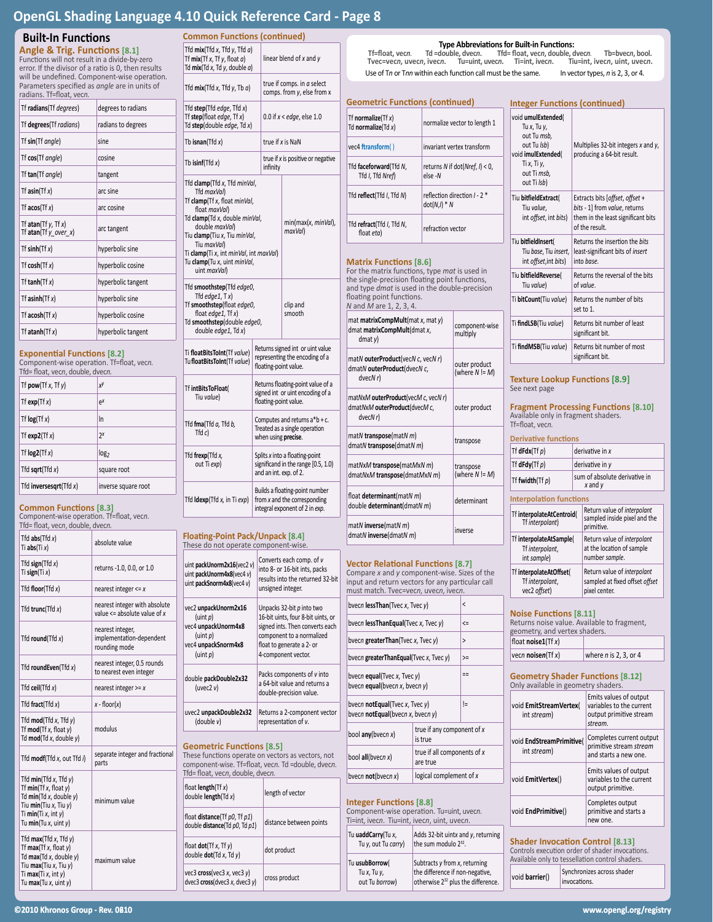# **Built-In Functions**

| radians. Tf=float, vecn.                               |                    |  |
|--------------------------------------------------------|--------------------|--|
| Tf radians(Tf degrees)                                 | degrees to radians |  |
| Tf degrees(Tf radians)                                 | radians to degrees |  |
| Tf sin(Tf angle)                                       | sine               |  |
| Tf cos(Tf angle)                                       | cosine             |  |
| Tf tan(Tf angle)                                       | tangent            |  |
| Tf $asin(Tf x)$                                        | arc sine           |  |
| Tf $acos(Tfx)$                                         | arc cosine         |  |
| Tf atan(Tf $y$ , Tf $x$ )<br>Tf atan(Tf $y_{over X}$ ) | arc tangent        |  |
| Tf $sinh(Tf x)$                                        | hyperbolic sine    |  |
| Tf $cosh(Tf x)$                                        | hyperbolic cosine  |  |
| Tf tanh $(Tf x)$                                       | hyperbolic tangent |  |
| Tf asinh $(Tf x)$                                      | hyperbolic sine    |  |
| Tf $acosh(Tfx)$                                        | hyperbolic cosine  |  |
| Tf atanh $(Tf x)$                                      | hyperbolic tangent |  |

### **Exponential Functions [8.2]**

| Tfd= float, vecn, double, dvecn.<br>Tf pow(Tf $x$ , Tf $y$ ) | χy                  |
|--------------------------------------------------------------|---------------------|
| Tf $exp(Tf x)$                                               | $e^{x}$             |
| Tf $log(Tf x)$                                               | In                  |
| Tf $exp2(Tf x)$                                              | $2^x$               |
| Tf $log2(Tf x)$                                              | log <sub>2</sub>    |
| Tfd sqrt $(Tfd x)$                                           | square root         |
| Tfd inversesgrt(Tfd $x$ )                                    | inverse square root |

### **Common Functions [8.3]**

| <b>Built-In Functions</b>                                                                                                                                                          |                                                                   |  |  |
|------------------------------------------------------------------------------------------------------------------------------------------------------------------------------------|-------------------------------------------------------------------|--|--|
| Angle & Trig. Functions [8.1]<br>Functions will not result in a divide-by-zero                                                                                                     |                                                                   |  |  |
| error. If the divisor of a ratio is 0, then results                                                                                                                                |                                                                   |  |  |
| Parameters specified as <i>angle</i> are in units of<br>radians. Tf=float, vecn.                                                                                                   | will be undefined. Component-wise operation.                      |  |  |
| Tf radians(Tf degrees)                                                                                                                                                             | degrees to radians                                                |  |  |
| Tf degrees(Tf radians)                                                                                                                                                             | radians to degrees                                                |  |  |
| Tf sin(Tf angle)                                                                                                                                                                   | sine                                                              |  |  |
| Tf cos(Tf angle)                                                                                                                                                                   | cosine                                                            |  |  |
| Tf tan(Tf angle)                                                                                                                                                                   | tangent                                                           |  |  |
| Tf asin(Tf $x$ )                                                                                                                                                                   | arc sine                                                          |  |  |
| Tf $acos(Tfx)$                                                                                                                                                                     | arc cosine                                                        |  |  |
| Tf atan(Tf $y$ , Tf $x$ )<br>Tf atan(Tf $y\_over_x$ )                                                                                                                              | arc tangent                                                       |  |  |
| Tf $sinh(Tf x)$                                                                                                                                                                    | hyperbolic sine                                                   |  |  |
| Tf $cosh(Tf x)$                                                                                                                                                                    | hyperbolic cosine                                                 |  |  |
| Tf tanh(Tf $x$ )                                                                                                                                                                   | hyperbolic tangent                                                |  |  |
| Tf asinh $(Tf x)$                                                                                                                                                                  | hyperbolic sine                                                   |  |  |
| Tf $acosh(Tfx)$                                                                                                                                                                    | hyperbolic cosine                                                 |  |  |
| Tf atanh $(Tf x)$                                                                                                                                                                  | hyperbolic tangent                                                |  |  |
| <b>Exponential Functions [8.2]</b><br>Component-wise operation. Tf=float, vecn.<br>Tfd= float, vecn, double, dvecn.                                                                |                                                                   |  |  |
| Tf $pow(Tfx, Tfy)$                                                                                                                                                                 | χУ                                                                |  |  |
| Tf $exp(Tt x)$                                                                                                                                                                     | e <sup>x</sup>                                                    |  |  |
| Tf $log(Tfx)$                                                                                                                                                                      | In                                                                |  |  |
| Tf $exp2(Tf x)$                                                                                                                                                                    | $2^x$                                                             |  |  |
| Tf $log2(Tf x)$                                                                                                                                                                    | log <sub>2</sub>                                                  |  |  |
| Tfd sqrt $(Tfd x)$                                                                                                                                                                 | square root                                                       |  |  |
| Tfd inversesqrt(Tfd $x$ )                                                                                                                                                          | inverse square root                                               |  |  |
| <b>Common Functions [8.3]</b><br>Component-wise operation. Tf=float, vecn.<br>Tfd= float, vecn, double, dvecn.                                                                     |                                                                   |  |  |
| Tfd $abs(Tfd x)$<br>Ti abs $(Tix)$                                                                                                                                                 | absolute value                                                    |  |  |
| Tfd sign(Tfd x)<br>Ti sign(Ti $x$ )                                                                                                                                                | returns -1.0, 0.0, or 1.0                                         |  |  |
| Tfd floor(Tfd $x$ )                                                                                                                                                                | nearest integer $\leq x$                                          |  |  |
| Tfd trunc(Tfd $x$ )                                                                                                                                                                | nearest integer with absolute<br>value $\leq$ absolute value of x |  |  |
| Tfd round(Tfd $x$ )                                                                                                                                                                | nearest integer,<br>implementation-dependent<br>rounding mode     |  |  |
| Tfd roundEven(Tfd $x$ )                                                                                                                                                            | nearest integer, 0.5 rounds<br>to nearest even integer            |  |  |
| Tfd ceil(Tfd $x$ )                                                                                                                                                                 | nearest integer $>= x$                                            |  |  |
| Tfd fract(Tfd $x$ )                                                                                                                                                                | x - floor(x)                                                      |  |  |
| Tfd $mod(Tfd x, Tfd y)$<br>Tf $mod(Tf x, float y)$<br>Td mod(Td x, double y)                                                                                                       | modulus                                                           |  |  |
| Tfd modf(Tfd x, out Tfd i)                                                                                                                                                         | separate integer and fractional<br>parts                          |  |  |
| Tfd $min(Tfd x, Tfd y)$<br>Tf $min(Tf x, f$ loat $y)$<br>Td $min(Td x, double y)$<br>Tiu min(Tiu x, Tiu y)<br>Ti <b>min</b> (Ti $x$ , int $y$ )<br>Tu $min(Tu x, uint y)$          | minimum value                                                     |  |  |
| Tfd $max(Tfd x, Tfd y)$<br>Tf $max(Tf x, f$ loat $y)$<br>Td max(Td x, double y)<br>Tiu <b>max</b> (Tiu <i>x</i> , Tiu <i>y</i> )<br>Ti $max(Tix, int y)$<br>Tu $max(Tu x, uint y)$ | maximum value                                                     |  |  |
| ©2010 Khronos Group - Rev. 0 <b>0</b> 10                                                                                                                                           |                                                                   |  |  |

| linear blend of x and y<br>true if comps. in a select<br>comps. from y, else from x<br>0.0 if $x <$ edge, else 1.0<br>Td step(double edge, Td x)<br>true if x is NaN<br>Tb isnan(Tfd $x$ )<br>true if $x$ is positive or negative<br>Tb isinf(Tfd $x$ )<br>infinity<br>Tfd clamp(Tfd x, Tfd minVal,<br>Tfd maxVal)<br>Tf clamp(Tf x, float minVal,<br>float maxVal)<br>Td clamp(Td x, double minVal,<br>min(max(x, minVal),<br>double maxVal)<br>maxVal)<br>Tiu clamp(Tiu x, Tiu minVal,<br>Tiu maxVal)<br>Ti clamp(Ti x, int minVal, int maxVal)<br>Tu clamp(Tu x, uint minVal,<br>uint maxVal)<br>Tfd smoothstep(Tfd edge0,<br>Tfd edge1, $Tx$ )<br>Tf smoothstep(float edge0,<br>clip and<br>float edge1, Tf x)<br>smooth<br>Td smoothstep(double edge0,<br>double edge1, Td x)<br>Returns signed int or uint value<br>Ti floatBitsToInt(Tf value)<br>representing the encoding of a<br>TufloatBitsToInt(Tf value)<br>floating-point value.<br>Returns floating-point value of a<br>Tf intBitsToFloat(<br>signed int or uint encoding of a<br>Tiu value)<br>floating-point value.<br>Computes and returns $a^*b$ + c.<br>Tfd fma(Tfd a, Tfd b,<br>Treated as a single operation<br>Tfd C<br>when using precise.<br>Tfd frexp(Tfd x,<br>Splits x into a floating-point<br>out Ti exp)<br>significand in the range [0.5, 1.0)<br>and an int. exp. of 2.<br>Builds a floating-point number<br>Tfd Idexp(Tfd x, in Ti exp)<br>from x and the corresponding<br>integral exponent of 2 in exp.<br><b>Floating-Point Pack/Unpack [8.4]</b><br>These do not operate component-wise.<br>Converts each comp. of v<br>uint packUnorm2x16(vec2 v)<br>into 8- or 16-bit ints, packs<br>uint packUnorm4x8(vec4 v)<br>results into the returned 32-bit<br>uint packSnorm4x8(vec4 v)<br>unsigned integer.<br>Unpacks 32-bit $p$ into two<br>16-bit uints, four 8-bit uints, or<br>(uint $p$ )<br>signed ints. Then converts each<br>(iint p)<br>component to a normalized<br>float to generate a 2- or<br>4-component vector.<br>(uint $p$ )<br>Packs components of v into<br>double packDouble2x32<br>a 64-bit value and returns a<br>(uvec2 v)<br>double-precision value.<br>uvec2 unpackDouble2x32<br>Returns a 2-component vector<br>representation of v.<br>(double v)<br><b>Geometric Functions [8.5]</b><br>These functions operate on vectors as vectors, not<br>component-wise. Tf=float, vecn. Td =double, dvecn.<br>Tfd= float, vecn, double, dvecn.<br>float $length(Tf x)$<br>length of vector<br>double $length(Td x)$<br>distance between points<br>dot product<br>$vec3$ cross(vec3 x, vec3 y)<br>cross product<br>dvec3 $\csc(dvec3 x, dvec3 y)$ | Common Functions (continued)                                                                  |                                                                             |  |  |  |
|------------------------------------------------------------------------------------------------------------------------------------------------------------------------------------------------------------------------------------------------------------------------------------------------------------------------------------------------------------------------------------------------------------------------------------------------------------------------------------------------------------------------------------------------------------------------------------------------------------------------------------------------------------------------------------------------------------------------------------------------------------------------------------------------------------------------------------------------------------------------------------------------------------------------------------------------------------------------------------------------------------------------------------------------------------------------------------------------------------------------------------------------------------------------------------------------------------------------------------------------------------------------------------------------------------------------------------------------------------------------------------------------------------------------------------------------------------------------------------------------------------------------------------------------------------------------------------------------------------------------------------------------------------------------------------------------------------------------------------------------------------------------------------------------------------------------------------------------------------------------------------------------------------------------------------------------------------------------------------------------------------------------------------------------------------------------------------------------------------------------------------------------------------------------------------------------------------------------------------------------------------------------------------------------------------------------------------------------------------------------------------------------------------------------------------------------------------------------------------------------------------------------------------------------------------------------------------------------------------------------------------------------------|-----------------------------------------------------------------------------------------------|-----------------------------------------------------------------------------|--|--|--|
|                                                                                                                                                                                                                                                                                                                                                                                                                                                                                                                                                                                                                                                                                                                                                                                                                                                                                                                                                                                                                                                                                                                                                                                                                                                                                                                                                                                                                                                                                                                                                                                                                                                                                                                                                                                                                                                                                                                                                                                                                                                                                                                                                                                                                                                                                                                                                                                                                                                                                                                                                                                                                                                      | Tfd $mix(Tfd x, Tfd y, Tfd a)$<br>Tf $mix(Tfx, Tfy, float a)$<br>Td mix(Td x, Td y, double a) |                                                                             |  |  |  |
|                                                                                                                                                                                                                                                                                                                                                                                                                                                                                                                                                                                                                                                                                                                                                                                                                                                                                                                                                                                                                                                                                                                                                                                                                                                                                                                                                                                                                                                                                                                                                                                                                                                                                                                                                                                                                                                                                                                                                                                                                                                                                                                                                                                                                                                                                                                                                                                                                                                                                                                                                                                                                                                      | Tfd $mix(Tfd x, Tfd y, Tb a)$                                                                 |                                                                             |  |  |  |
|                                                                                                                                                                                                                                                                                                                                                                                                                                                                                                                                                                                                                                                                                                                                                                                                                                                                                                                                                                                                                                                                                                                                                                                                                                                                                                                                                                                                                                                                                                                                                                                                                                                                                                                                                                                                                                                                                                                                                                                                                                                                                                                                                                                                                                                                                                                                                                                                                                                                                                                                                                                                                                                      | Tfd step(Tfd edge, Tfd $x$ )<br>Tf step(float edge, $Tf(x)$ )                                 |                                                                             |  |  |  |
|                                                                                                                                                                                                                                                                                                                                                                                                                                                                                                                                                                                                                                                                                                                                                                                                                                                                                                                                                                                                                                                                                                                                                                                                                                                                                                                                                                                                                                                                                                                                                                                                                                                                                                                                                                                                                                                                                                                                                                                                                                                                                                                                                                                                                                                                                                                                                                                                                                                                                                                                                                                                                                                      |                                                                                               |                                                                             |  |  |  |
|                                                                                                                                                                                                                                                                                                                                                                                                                                                                                                                                                                                                                                                                                                                                                                                                                                                                                                                                                                                                                                                                                                                                                                                                                                                                                                                                                                                                                                                                                                                                                                                                                                                                                                                                                                                                                                                                                                                                                                                                                                                                                                                                                                                                                                                                                                                                                                                                                                                                                                                                                                                                                                                      |                                                                                               |                                                                             |  |  |  |
|                                                                                                                                                                                                                                                                                                                                                                                                                                                                                                                                                                                                                                                                                                                                                                                                                                                                                                                                                                                                                                                                                                                                                                                                                                                                                                                                                                                                                                                                                                                                                                                                                                                                                                                                                                                                                                                                                                                                                                                                                                                                                                                                                                                                                                                                                                                                                                                                                                                                                                                                                                                                                                                      |                                                                                               |                                                                             |  |  |  |
|                                                                                                                                                                                                                                                                                                                                                                                                                                                                                                                                                                                                                                                                                                                                                                                                                                                                                                                                                                                                                                                                                                                                                                                                                                                                                                                                                                                                                                                                                                                                                                                                                                                                                                                                                                                                                                                                                                                                                                                                                                                                                                                                                                                                                                                                                                                                                                                                                                                                                                                                                                                                                                                      |                                                                                               |                                                                             |  |  |  |
|                                                                                                                                                                                                                                                                                                                                                                                                                                                                                                                                                                                                                                                                                                                                                                                                                                                                                                                                                                                                                                                                                                                                                                                                                                                                                                                                                                                                                                                                                                                                                                                                                                                                                                                                                                                                                                                                                                                                                                                                                                                                                                                                                                                                                                                                                                                                                                                                                                                                                                                                                                                                                                                      |                                                                                               |                                                                             |  |  |  |
|                                                                                                                                                                                                                                                                                                                                                                                                                                                                                                                                                                                                                                                                                                                                                                                                                                                                                                                                                                                                                                                                                                                                                                                                                                                                                                                                                                                                                                                                                                                                                                                                                                                                                                                                                                                                                                                                                                                                                                                                                                                                                                                                                                                                                                                                                                                                                                                                                                                                                                                                                                                                                                                      |                                                                                               |                                                                             |  |  |  |
|                                                                                                                                                                                                                                                                                                                                                                                                                                                                                                                                                                                                                                                                                                                                                                                                                                                                                                                                                                                                                                                                                                                                                                                                                                                                                                                                                                                                                                                                                                                                                                                                                                                                                                                                                                                                                                                                                                                                                                                                                                                                                                                                                                                                                                                                                                                                                                                                                                                                                                                                                                                                                                                      |                                                                                               |                                                                             |  |  |  |
|                                                                                                                                                                                                                                                                                                                                                                                                                                                                                                                                                                                                                                                                                                                                                                                                                                                                                                                                                                                                                                                                                                                                                                                                                                                                                                                                                                                                                                                                                                                                                                                                                                                                                                                                                                                                                                                                                                                                                                                                                                                                                                                                                                                                                                                                                                                                                                                                                                                                                                                                                                                                                                                      |                                                                                               |                                                                             |  |  |  |
|                                                                                                                                                                                                                                                                                                                                                                                                                                                                                                                                                                                                                                                                                                                                                                                                                                                                                                                                                                                                                                                                                                                                                                                                                                                                                                                                                                                                                                                                                                                                                                                                                                                                                                                                                                                                                                                                                                                                                                                                                                                                                                                                                                                                                                                                                                                                                                                                                                                                                                                                                                                                                                                      |                                                                                               |                                                                             |  |  |  |
|                                                                                                                                                                                                                                                                                                                                                                                                                                                                                                                                                                                                                                                                                                                                                                                                                                                                                                                                                                                                                                                                                                                                                                                                                                                                                                                                                                                                                                                                                                                                                                                                                                                                                                                                                                                                                                                                                                                                                                                                                                                                                                                                                                                                                                                                                                                                                                                                                                                                                                                                                                                                                                                      |                                                                                               |                                                                             |  |  |  |
|                                                                                                                                                                                                                                                                                                                                                                                                                                                                                                                                                                                                                                                                                                                                                                                                                                                                                                                                                                                                                                                                                                                                                                                                                                                                                                                                                                                                                                                                                                                                                                                                                                                                                                                                                                                                                                                                                                                                                                                                                                                                                                                                                                                                                                                                                                                                                                                                                                                                                                                                                                                                                                                      | vec2 unpackUnorm2x16<br>vec4 unpackUnorm4x8<br>vec4 unpackSnorm4x8                            |                                                                             |  |  |  |
|                                                                                                                                                                                                                                                                                                                                                                                                                                                                                                                                                                                                                                                                                                                                                                                                                                                                                                                                                                                                                                                                                                                                                                                                                                                                                                                                                                                                                                                                                                                                                                                                                                                                                                                                                                                                                                                                                                                                                                                                                                                                                                                                                                                                                                                                                                                                                                                                                                                                                                                                                                                                                                                      |                                                                                               |                                                                             |  |  |  |
|                                                                                                                                                                                                                                                                                                                                                                                                                                                                                                                                                                                                                                                                                                                                                                                                                                                                                                                                                                                                                                                                                                                                                                                                                                                                                                                                                                                                                                                                                                                                                                                                                                                                                                                                                                                                                                                                                                                                                                                                                                                                                                                                                                                                                                                                                                                                                                                                                                                                                                                                                                                                                                                      |                                                                                               |                                                                             |  |  |  |
|                                                                                                                                                                                                                                                                                                                                                                                                                                                                                                                                                                                                                                                                                                                                                                                                                                                                                                                                                                                                                                                                                                                                                                                                                                                                                                                                                                                                                                                                                                                                                                                                                                                                                                                                                                                                                                                                                                                                                                                                                                                                                                                                                                                                                                                                                                                                                                                                                                                                                                                                                                                                                                                      |                                                                                               |                                                                             |  |  |  |
|                                                                                                                                                                                                                                                                                                                                                                                                                                                                                                                                                                                                                                                                                                                                                                                                                                                                                                                                                                                                                                                                                                                                                                                                                                                                                                                                                                                                                                                                                                                                                                                                                                                                                                                                                                                                                                                                                                                                                                                                                                                                                                                                                                                                                                                                                                                                                                                                                                                                                                                                                                                                                                                      |                                                                                               |                                                                             |  |  |  |
|                                                                                                                                                                                                                                                                                                                                                                                                                                                                                                                                                                                                                                                                                                                                                                                                                                                                                                                                                                                                                                                                                                                                                                                                                                                                                                                                                                                                                                                                                                                                                                                                                                                                                                                                                                                                                                                                                                                                                                                                                                                                                                                                                                                                                                                                                                                                                                                                                                                                                                                                                                                                                                                      |                                                                                               | float <b>distance</b> (Tf $p0$ , Tf $p1$ )<br>double distance(Td p0, Td p1) |  |  |  |
|                                                                                                                                                                                                                                                                                                                                                                                                                                                                                                                                                                                                                                                                                                                                                                                                                                                                                                                                                                                                                                                                                                                                                                                                                                                                                                                                                                                                                                                                                                                                                                                                                                                                                                                                                                                                                                                                                                                                                                                                                                                                                                                                                                                                                                                                                                                                                                                                                                                                                                                                                                                                                                                      | float $dot(Tf x, Tf y)$<br>double $dot(Tdx, Tdy)$                                             |                                                                             |  |  |  |
|                                                                                                                                                                                                                                                                                                                                                                                                                                                                                                                                                                                                                                                                                                                                                                                                                                                                                                                                                                                                                                                                                                                                                                                                                                                                                                                                                                                                                                                                                                                                                                                                                                                                                                                                                                                                                                                                                                                                                                                                                                                                                                                                                                                                                                                                                                                                                                                                                                                                                                                                                                                                                                                      |                                                                                               |                                                                             |  |  |  |

#### **Genetric Functions (continued)** n<mark>ormalize</mark>(Tf *x*)<br>normalize(Td *x*) normalize vector to length 1 vec4 **ftransform**( ) invariant vertex transform faceforward(Tfd N, Tfd *I*, Tfd *Nref*) returns *N* if dot(*Nref*, *I*) < 0, else -*N* Tfd **reflect**(Tfd *I*, Tfd *N*) reflection direction *I* - 2 \* dot(*N*,*I*) \* *N* refract(Tfd *I*, Tfd *N*, **retract**(Itd *I*, Itd *N*,<br>float *eta*) refraction vector **Matrix Functions [8.6]** For the matrix functions, type *mat* is used in single-precision floating point functions, I type *dmat* is used in the double-precision ating point functions. *N* and *M* are 1, 2, 3, 4. mat **matrixCompMult**(mat *x*, mat *y*) at **matrixCompMult**(dmat *x*, dmat *y*) component-wise multiply mat*N* **outerProduct**(vec*N c*, vec*N r*) at*N* outerProduct(dvec*N c*, dvec*N r*) outer product (where *N* != *M*) mat*N*x*M* **outerProduct**(vec*M c*, vec*N r*) at*NxM* outerProduct(dvecMc, dvec*N r*) outer product mat*N* **transpose**(mat*N m*) dmat*<sup>N</sup>* **transpose**(dmat*<sup>N</sup> <sup>m</sup>*) transpose mat*N*x*M* **transpose**(mat*M*x*N m*) dmat*N*x*M* **transpose**(dmat*M*x*N m*) transpose (where *N* != *M*)  $\det$  **determinant**(mat*N m*) double **determinant**(dmat*<sup>N</sup> <sup>m</sup>*) determinant mat*N* **inverse**(mat*N m*) dmat*<sup>N</sup>* **inverse**(dmat*<sup>N</sup> <sup>m</sup>*) inverse **Vector Relational Functions [8.7]** Compare *x* and *y* component-wise. Sizes of the input and return vectors for any particular call must match. Tvec=vec*n*, uvec*n*, ivec*n*.  $\vert$ ec*n* **lessThan**(Tvec *x*, Tvec *y*)  $\vert$  <  $\vert$ ec*n* **lessThanEqual**(Tvec *x*, Tvec *y*)  $\vert$  <=  $\mathbf{e}$ cn **greaterThan**(Tvec *x*, Tvec *y*)  $\mathbf{e}$ *cn* greaterThanEqual(Tvec *x*, Tvec *y*) ecn **equal**(Tvec *x*, Tvec *y*)  $\epsilon$ c*n* **equal**(bvec*n x*, bvec*n y*) == ecn **notEqual**(Tvec *x*, Tvec *y*) bvec*n* **notEqual**(bvec*n x*, bvec*n y*) != bol **any**(bvecn *x*) true if any component of *x* is true bol **all**(bvec*n x*) true if all components of *x* are true bvec*n* **not**(bvec*n x*) logical complement of *x*  $\vert$ flc  $|$ vo **Type Abbreviations for Built-in Functions:**<br>Td =double, dvecn. Tfd= float, vecn, double, c **Tf=float, vec***n.* **Td =double, dvec***n***. Tfd= float, vec***n***, double, dvec***n.* **Tb=bvec***n***, bool. Tu=uint, uvec***n***. Ti=int, ivec***n***.** Use of Tn or Tnn within each function call must be the same. In vector types, n is 2, 3, or 4.

# **Integer Functions [8.8]**

| Ti=int, ivecn. Tiu=int, ivecn, uint, uvecn. | Component-wise operation. Tu=uint, uvecn.      |
|---------------------------------------------|------------------------------------------------|
| Tu uaddCarry(Tu x,                          | Adds 32-bit uintx and y, returning             |
| Tu y, out Tu carry)                         | the sum modulo 2 <sup>32</sup> .               |
| Tu usubBorrow(                              | Subtracts y from x, returning                  |
| Tu $x$ , Tu $y$ ,                           | the difference if non-negative,                |
| out Tu borrow)                              | otherwise 2 <sup>32</sup> plus the difference. |

| <b>Integer Functions (continued)</b>                                                                                               |                                                                                                                          |  |
|------------------------------------------------------------------------------------------------------------------------------------|--------------------------------------------------------------------------------------------------------------------------|--|
| void umulExtended(<br>Tu x, Tu y,<br>out Tu msb,<br>out Tu Isb)<br>void imulExtended(<br>Ti x, Ti y,<br>out Ti msb.<br>out Ti Isb) | Multiplies 32-bit integers $x$ and $y$ ,<br>producing a 64-bit result.                                                   |  |
| Tiu bitfieldExtract(<br>Tiu value,<br>int offset, int bits)                                                                        | Extracts bits [offset, offset +<br>bits - 1] from value, returns<br>them in the least significant bits<br>of the result. |  |
| Tiu bitfieldInsert(<br>Tiu base, Tiu insert,<br>int offset, int bits)                                                              | Returns the insertion the bits<br>least-significant bits of insert<br>into hase.                                         |  |
| Tiu bitfieldReverse(<br>Tiu value)                                                                                                 | Returns the reversal of the bits<br>of value.                                                                            |  |
| Ti bitCount(Tiu value)                                                                                                             | Returns the number of bits<br>set to 1.                                                                                  |  |
| Ti findLSB(Tiu value)                                                                                                              | Returns bit number of least<br>significant bit.                                                                          |  |
| Ti findMSB(Tiu value)                                                                                                              | Returns bit number of most<br>significant bit.                                                                           |  |
| <b>Texture Lookup Functions [8.9]</b><br>See next page                                                                             |                                                                                                                          |  |

## **Fragment Processing Functions [8.10]**<br>Available only in fragment shaders. Tf=float, vec*n.*

| <b>Derivative functions</b>                               |                                                                                |
|-----------------------------------------------------------|--------------------------------------------------------------------------------|
| Tf $dfdx(Tf p)$                                           | derivative in x                                                                |
| Tf $dfdy(Tf p)$                                           | derivative in y                                                                |
| Tf fwidth $(Tf p)$                                        | sum of absolute derivative in<br>$x$ and $y$                                   |
| <b>Interpolation functions</b>                            |                                                                                |
| Tf interpolateAtCentroid(<br>Tf interpolant)              | Return value of interpolant<br>sampled inside pixel and the<br>primitive.      |
| Tf interpolateAtSample(<br>Tf interpolant,<br>int sample) | Return value of interpolant<br>at the location of sample<br>number sample.     |
| Tf interpolateAtOffset<br>Tf interpolant,<br>vec2 offset) | Return value of interpolant<br>sampled at fixed offset offset<br>pixel center. |
|                                                           |                                                                                |

| <b>Noise Functions [8.11]</b><br>Returns noise value. Available to fragment,<br>geometry, and vertex shaders. |                                                                                          |  |
|---------------------------------------------------------------------------------------------------------------|------------------------------------------------------------------------------------------|--|
| float $noise1(Tfx)$                                                                                           |                                                                                          |  |
| vecn noisen(Tf $x$ )                                                                                          | where $n$ is 2, 3, or 4                                                                  |  |
| <b>Geometry Shader Functions [8.12]</b><br>Only available in geometry shaders.                                |                                                                                          |  |
| void EmitStreamVertex(<br>int stream)                                                                         | Emits values of output<br>variables to the current<br>output primitive stream<br>stream. |  |
| void EndStreamPrimitive<br>int stream)                                                                        | Completes current output<br>primitive stream stream<br>and starts a new one.             |  |
| void EmitVertex()                                                                                             | Emits values of output<br>variables to the current<br>output primitive.                  |  |
| void <b>EndPrimitive</b> ()                                                                                   | Completes output<br>primitive and starts a<br>new one.                                   |  |

# **Shader Invocation Control [8.13]**

Controls execution order of shader invocations. Available only to tessellation control shaders.

void **barrier**() Synchronizes across shader invocations.

#### **©2010 Khronos Group - Rev. 0610 www.opengl.org/registry**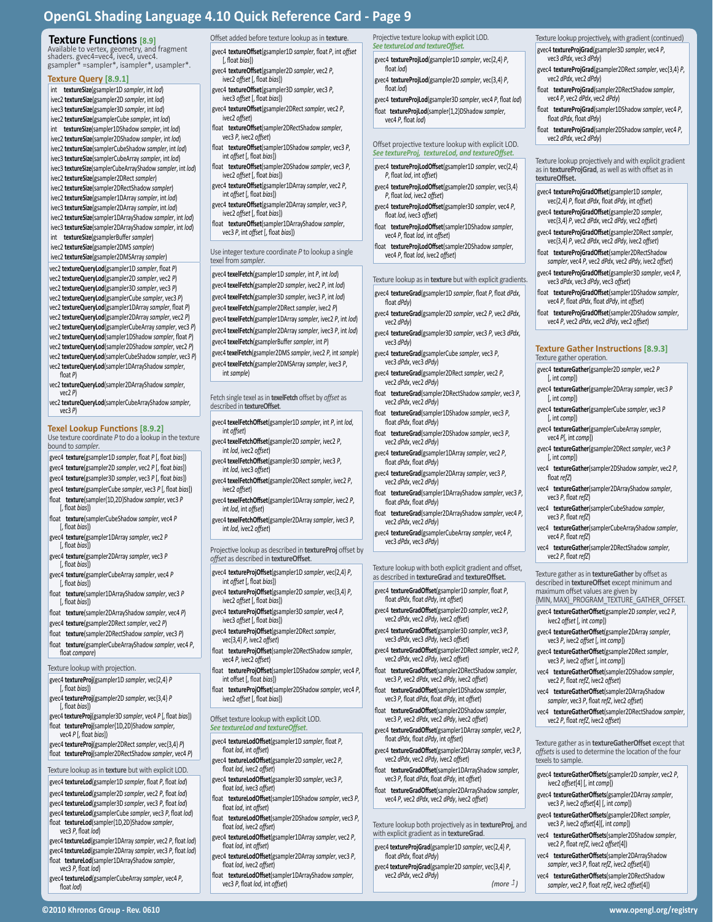### **Texture Functions [8.9]**

Available to vertex, geometry, and fragment<br>shaders. gvec4=vec4, ivec4, uvec4.<br>gsampler\* =sampler\*, isampler\*, usampler\*.

#### **Texture Query [8.9.1]**

int **textureSize**(gsampler1D *sampler*, int *lod*) ivec2 **textureSize**(gsampler2D *sampler*, int *lod*) ivec3 **textureSize**(gsampler3D *sampler*, int *lod*) ivec2 **textureSize**(gsamplerCube *sampler*, int *lod*) int **textureSize**(sampler1DShadow *sampler*, int *lod*) ivec2 **textureSize**(sampler2DShadow *sampler*, int *lod*) ivec2 **textureSize**(samplerCubeShadow *sampler*, int *lod*) ivec3 **textureSize**(samplerCubeArray *sampler*, int *lod*) ivec3 **textureSize**(samplerCubeArrayShadow *sampler*, int *lod*) ivec2 **textureSize**(gsampler2DRect *sampler*)

ivec2 **textureSize**(sampler2DRectShadow *sampler*) ivec2 **textureSize**(gsampler1DArray *sampler*, int *lod*)

ivec3 **textureSize**(gsampler2DArray *sampler*, int *lod*) ivec2 **textureSize**(sampler1DArrayShadow *sampler*, int *lod*) ivec3 **textureSize**(sampler2DArrayShadow *sampler*, int *lod*)

int **textureSize**(gsamplerBuffer *sampler*) ivec2 **textureSize**(gsampler2DMS *sampler*)

ivec2 **textureSize**(gsampler2DMSArray *sampler*) vec2 **textureQueryLod**(gsampler1D *sampler*, float *P*)

vec2 **textureQueryLod**(gsampler2D *sampler*, vec2 *P*) vec2 **textureQueryLod**(gsampler3D *sampler*, vec3 *P*) vec2 **textureQueryLod**(gsamplerCube *sampler*, vec3 *P*) vec2 **textureQueryLod**(gsampler1DArray *sampler*, float *P*) vec2 **textureQueryLod**(gsampler2DArray *sampler*, vec2 *P*) vec2 **textureQueryLod**(gsamplerCubeArray *sampler*, vec3 *P*) vec2 **textureQueryLod**(sampler1DShadow *sampler*, float *P*) vec2 **textureQueryLod**(sampler2DShadow *sampler*, vec2 *P*) vec2 **textureQueryLod**(samplerCubeShadow *sampler*, vec3 *P*) vec2 **textureQueryLod**(sampler1DArrayShadow *sampler*, float *<sup>P</sup>*)

vec2 **textureQueryLod**(sampler2DArrayShadow *sampler*, vec2 *<sup>P</sup>*)

vec2 **textureQueryLod**(samplerCubeArrayShadow *sampler*, vec3 *<sup>P</sup>*)

**Texel Lookup Functions [8.9.2]** Use texture coordinate *P* to do a lookup in the texture

bound to *sampler*. gvec4 **texture**(gsampler1D *sampler*, float *P* [, float *bias*])

- gvec4 **texture**(gsampler2D *sampler*, vec2 *P* [, float *bias*]) gvec4 **texture**(gsampler3D *sampler*, vec3 *P* [, float *bias*])
- gvec4 **texture**(gsamplerCube *sampler*, vec3 *P* [, float *bias*])
- float **texture**(sampler{1D,2D}Shadow *sampler*, vec3 *P* [, float *bias*])
- float **texture**(samplerCubeShadow *sampler*, vec4 *P* [, float *bias*])
- gvec4 **texture**(gsampler1DArray *sampler*, vec2 *P* [, float *bias*])
- gvec4 **texture**(gsampler2DArray *sampler*, vec3 *P* [, float *bias*])

gvec4 **texture**(gsamplerCubeArray *sampler*, vec4 *P* [, float *bias*])

float **texture**(sampler1DArrayShadow *sampler*, vec3 *P* [, float *bias*])

float **texture**(sampler2DArrayShadow *sampler*, vec4 *P*)

- gvec4 **texture**(gsampler2DRect *sampler*, vec2 *P*)
- float **texture**(sampler2DRectShadow *sampler*, vec3 *P*) float **texture**(gsamplerCubeArrayShadow *sampler*, vec4 *<sup>P</sup>*, float *compare*)

Texture lookup with projection.

- gvec4 **textureProj**(gsampler1D *sampler*, vec{2,4} *P*
- [, float *bias*]) gvec4 **textureProj**(gsampler2D *sampler*, vec{3,4} *P*

[, float *bias*]) gvec4 **textureProj**(gsampler3D *sampler*, vec4 *P* [, float *bias*])

float **textureProj**(sampler{1D,2D}Shadow *sampler*, vec4 *P* [, float *bias*])

gvec4 **textureProj**(gsampler2DRect *sampler*, vec{3,4} *P*) float **textureProj**(sampler2DRectShadow *sampler*, vec4 *P*)

Texture lookup as in **texture** but with explicit LOD.

gvec4 **textureLod**(gsampler1D *sampler*, float *P*, float *lod*) gvec4 **textureLod**(gsampler2D *sampler*, vec2 *P*, float *lod*)

- gvec4 **textureLod**(gsampler3D *sampler*, vec3 *P*, float *lod*) gvec4 **textureLod**(gsamplerCube *sampler*, vec3 *P*, float *lod*)
- float **textureLod**(sampler{1D,2D}Shadow *sampler*, vec3 *P*, float *lod*) gvec4 **textureLod**(gsampler1DArray *sampler*, vec2 *P*, float *lod*)
- gvec4 **textureLod**(gsampler2DArray *sampler*, vec3 *P*, float *lod*) float **textureLod**(sampler1DArrayShadow *sampler*,
- vec3 *P*, float *lod*) gvec4 **textureLod**(gsamplerCubeArray *sampler*, vec4 *P*, float *lod*)

Offset added before texture lookup as in **texture**. gvec4 **textureOffset**(gsampler1D *sampler*, float *P*, int *offset* [, float *bias*])

gvec4 **textureOffset**(gsampler2D *sampler*, vec2 *P*, ivec2 *offset* [, float *bias*])

- gvec4 **textureOffset**(gsampler3D *sampler*, vec3 *P*, ivec3 *offset* [, float *bias*])
- gvec4 **textureOffset**(gsampler2DRect *sampler*, vec2 *P*, ivec2 *offset*)
- float **textureOffset**(sampler2DRectShadow *sampler*, vec3 *P*, ivec2 *offset*)
- float **textureOffset**(sampler1DShadow *sampler*, vec3 *P*, int *offset* [, float *bias*])
- float **textureOffset**(sampler2DShadow *sampler*, vec3 *P*, ivec2 *offset* [, float *bias*])
- gvec4 **textureOffset**(gsampler1DArray *sampler*, vec2 *P*, int *offset* [, float *bias*])
- gvec4 **textureOffset**(gsampler2DArray *sampler*, vec3 *P*, ivec2 *offset* [, float *bias*])
- float **textureOffset**(sampler1DArrayShadow *sampler*, vec3 *P*, int *offset* [, float *bias*])

#### Use integer texture coordinate *P* to lookup a single texel from *sampler*.

gvec4 **texelFetch**(gsampler1D *sampler*, int *P*, int *lod*) gvec4 **texelFetch**(gsampler2D *sampler*, ivec2 *P*, int *lod*) gvec4 **texelFetch**(gsampler3D *sampler*, ivec3 *P*, int *lod*) gvec4 **texelFetch**(gsampler2DRect *sampler*, ivec2 *P*)

gvec4 **texelFetch**(gsampler1DArray *sampler*, ivec2 *P*, int *lod*) gvec4 **texelFetch**(gsampler2DArray *sampler*, ivec3 *P*, int *lod*)

gvec4 **texelFetch**(gsamplerBuffer *sampler*, int *P*) gvec4 **texelFetch**(gsampler2DMS *sampler*, ivec2 *P*, int *sample*)

gvec4 **texelFetch**(gsampler2DMSArray *sampler*, ivec3 *P*, int *sample*)

Fetch single texel as in **texelFetch** offset by *offset* as described in **textureOffset**.

- gvec4 **texelFetchOffset**(gsampler1D *sampler*, int *P*, int *lod*, int *offset*)
- gvec4 **texelFetchOffset**(gsampler2D *sampler*, ivec2 *P*, int *lod*, ivec2 *offset*)
- gvec4 **texelFetchOffset**(gsampler3D *sampler*, ivec3 *P*, int *lod*, ivec3 *offset*)
- gvec4 **texelFetchOffset**(gsampler2DRect *sampler*, ivec2 *P*, ivec2 *offset*)
- gvec4 **texelFetchOffset**(gsampler1DArray *sampler*, ivec2 *P*, int *lod*, int *offset*)
- gvec4 **texelFetchOffset**(gsampler2DArray *sampler*, ivec3 *P*, int *lod*, ivec2 *offset*)

Projective lookup as described in **textureProj** offset by *offset* as described in **textureOffset**.

- gvec4 **textureProjOffset**(gsampler1D *sampler*, vec{2,4} *P*, int *offset* [, float *bias*])
- gvec4 **textureProjOffset**(gsampler2D *sampler*, vec{3,4} *P*, ivec2 *offset* [, float *bias*])
- gvec4 **textureProjOffset**(gsampler3D *sampler*, vec4 *P*, ivec3 *offset* [, float *bias*])
- gvec4 **textureProjOffset**(gsampler2DRect *sampler*, vec{3,4} *P*, ivec2 *offset*)
- float **textureProjOffset**(sampler2DRectShadow *sampler*, vec4 *P*, ivec2 *offset*)
- float **textureProjOffset**(sampler1DShadow *sampler*, vec4 *P*, int offset [, float *bias*])
- float **textureProjOffset**(sampler2DShadow *sampler*, vec4 *P*, ivec2 *offset* [, float *bias*])

Offset texture lookup with explicit LOD. *See textureLod and textureOffset*.

- gvec4 **textureLodOffset**(gsampler1D *sampler*, float *P*, float *lod*, int *offset*)
- gvec4 **textureLodOffset**(gsampler2D *sampler*, vec2 *P*, float *lod*, ivec2 *offset*)
- gvec4 **textureLodOffset**(gsampler3D *sampler*, vec3 *P*, float *lod*, ivec3 *offset*)
- float **textureLodOffset**(sampler1DShadow *sampler*, vec3 *P*, float *lod*, int *offset*)
- float **textureLodOffset**(sampler2DShadow *sampler*, vec3 *P*, float *lod*, ivec2 *offset*)
- gvec4 **textureLodOffset**(gsampler1DArray *sampler*, vec2 *P*, float *lod*, int *offset*)
- gvec4 **textureLodOffset**(gsampler2DArray *sampler*, vec3 *P*, float *lod*, ivec2 *offset*)
- float **textureLodOffset**(sampler1DArrayShadow *sampler*, vec3 *P*, float *lod*, int *offset*)

**©2010 Khronos Group - Rev. 0610 www.opengl.org/registry** 

Projective texture lookup with explicit LOD. *See textureLod and textureOffset.*

gvec4 **textureProjLod**(gsampler1D *sampler*, vec{2,4} *P*, float *lod*)

Texture lookup projectively, with gradient (continued) gvec4 **textureProjGrad**(gsampler3D *sampler*, vec4 *P*,

gvec4 **textureProjGrad**(gsampler2DRect *sampler*, vec{3,4} *P*,

float **textureProjGrad**(sampler2DRectShadow *sampler*,

float **textureProjGrad**(sampler1DShadow *sampler*, vec4 *P*,

float **textureProjGrad**(sampler2DShadow *sampler*, vec4 *P*,

Texture lookup projectively and with explicit gradient as in **textureProjGrad**, as well as with offset as in

gvec4 **textureProjGradOffset**(gsampler1D *sampler*, vec{2,4} *P*, float *dPdx*, float *dPdy*, int *offset*) gvec4 **textureProjGradOffset**(gsampler2D *sampler*, vec{3,4} *P*, vec2 *dPdx*, vec2 *dPdy*, vec2 *offset*) gvec4 **textureProjGradOffset**(gsampler2DRect *sampler*, vec{3,4} *P*, vec2 *dPdx*, vec2 *dPdy*, ivec2 *offset*) float **textureProjGradOffset**(sampler2DRectShadow *sampler*, vec4 *P*, vec2 *dPdx*, vec2 *dPdy*, ivec2 *offset*) gvec4 **textureProjGradOffset**(gsampler3D *sampler*, vec4 *P*, vec3 *dPdx*, vec3 *dPdy*, vec3 *offset*) float **textureProjGradOffset**(sampler1DShadow *sampler*, vec4 *P*, float *dPdx*, float *dPdy*, int *offset*) float **textureProjGradOffset**(sampler2DShadow *sampler*, vec4 *P*, vec2 *dPdx*, vec2 *dPdy*, vec2 *offset*)

**Texture Gather Instructions [8.9.3]**

gvec4 **textureGather**(gsampler2DArray *sampler*, vec3 *P*

gvec4 **textureGather**(gsamplerCube *sampler*, vec3 *P*

gvec4 **textureGather**(gsamplerCubeArray *sampler*,

gvec4 **textureGather**(gsampler2DRect *sampler*, vec3 *P*

vec4 **textureGather**(sampler2DShadow *sampler*, vec2 *P*,

vec4 **textureGather**(sampler2DArrayShadow *sampler*,

vec4 **textureGather**(samplerCubeArrayShadow *sampler*,

vec4 **textureGather**(sampler2DRectShadow *sampler*,

Texture gather as in **textureGather** by offset as described in **textureOffset** except minimum and maximum offset values are given by

gvec4 **textureGatherOffset**(gsampler2DArray *sampler*, vec3 *P*, ivec2 *offset* [, int *comp*]) gvec4 **textureGatherOffset**(gsampler2DRect *sampler*, vec3 *P*, ivec2 *offset* [, int *comp*]) vec4 **textureGatherOffset**(sampler2DShadow *sampler*,

{MIN, MAX}\_PROGRAM\_TEXTURE\_GATHER\_OFFSET. gvec4 **textureGatherOffset**(gsampler2D *sampler*, vec2 *P*,

Texture gather as in **textureGatherOffset** except that *offsets* is used to determine the location of the four

gvec4 **textureGatherOffsets**(gsampler2D *sampler*, vec2 *P*,

gvec4 **textureGatherOffsets**(gsampler2DArray *sampler*, vec3 *P*, ivec2 *offset*[4] [, int *comp*]) gvec4 **textureGatherOffsets**(gsampler2DRect *sampler*, vec3 *P*, ivec2 *offset*[4][, int *comp*]) vec4 **textureGatherOffsets**(sampler2DShadow *sampler*, vec2 *P*, float *refZ*, ivec2 *offset*[4]) vec4 **textureGatherOffsets**(sampler2DArrayShadow *sampler*, vec3 *P*, float *refZ*, ivec2 *offset*[4]) vec4 **textureGatherOffsets**(sampler2DRectShadow *sampler*, vec2 *P*, float *refZ*, ivec2 *offset*[4])

vec4 **textureGather**(samplerCubeShadow *sampler*,

gvec4 **textureGather**(gsampler2D *sampler*, vec2 *P*

Texture gather operation.

[, int *comp*])

[, int *comp*])

[, int *comp*])

[, int *comp*])

float *refZ*)

vec4 *P*[, int *comp*])

vec3 *P*, float *refZ*)

vec3 *P*, float *refZ*)

vec4 *P*, float *refZ*)

vec2 *P*, float *refZ*)

ivec2 *offset* [, int *comp*])

vec2 *P*, float *refZ*, ivec2 *offset*) vec4 **textureGatherOffset**(sampler2DArrayShadow *sampler*, vec3 *P*, float *refZ*, ivec2 *offset*) vec4 **textureGatherOffset**(sampler2DRectShadow *sampler*,

vec2 *P*, float *refZ*, ivec2 *offset*)

ivec2 *offset*[4] [, int *comp*])

texels to sample.

vec3 *dPdx*, vec3 *dPdy*)

vec2 *dPdx*, vec2 *dPdy*)

float *dPdx*, float *dPdy*)

vec2 *dPdx*, vec2 *dPdy*)

**textureOffset.**

vec4 *P*, vec2 *dPdx*, vec2 *dPdy*)

- gvec4 **textureProjLod**(gsampler2D *sampler*, vec{3,4} *P*, float *lod*)
- gvec4 **textureProjLod**(gsampler3D *sampler*, vec4 *P*, float *lod*) float **textureProjLod**(sampler{1,2}DShadow *sampler*, vec4 *P*, float *lod*)

#### Offset projective texture lookup with explicit LOD. *See textureProj, textureLod, and textureOffset.*

- gvec4 **textureProjLodOffset**(gsampler1D *sampler*, vec{2,4} *P*, float *lod*, int *offset*)
- gvec4 **textureProjLodOffset**(gsampler2D *sampler*, vec{3,4} *P*, float *lod*, ivec2 *offset*)
- gvec4 **textureProjLodOffset**(gsampler3D *sampler*, vec4 *P*, float *lod*, ivec3 *offset*)
- float **textureProjLodOffset**(sampler1DShadow *sampler*, vec4 *P*, float *lod*, int *offset*) float **textureProjLodOffset**(sampler2DShadow *sampler*,
- vec4 *P*, float *lod*, ivec2 *offset*)

## Texture lookup as in **texture** but with explicit gradients.

- gvec4 **textureGrad**(gsampler1D *sampler*, float *P*, float *dPdx*, float *dPdy*) gvec4 **textureGrad**(gsampler2D *sampler*, vec2 *P*, vec2 *dPdx*,
- vec2 *dPdy*) gvec4 **textureGrad**(gsampler3D *sampler*, vec3 *P*, vec3 *dPdx*,
- vec3 *dPdy*) gvec4 **textureGrad**(gsamplerCube *sampler*, vec3 *P*,
- vec3 *dPdx*, vec3 *dPdy*)
- gvec4 **textureGrad**(gsampler2DRect *sampler*, vec2 *P*, vec2 *dPdx*, vec2 *dPdy*)

float **textureGrad**(sampler2DRectShadow *sampler*, vec3 *P*, vec2 *dPdx*, vec2 *dPdy*)

- float **textureGrad**(sampler1DShadow *sampler*, vec3 *P*, float *dPdx*, float *dPdy*)
- float **textureGrad**(sampler2DShadow *sampler*, vec3 *P*, vec2 *dPdx*, vec2 *dPdy*)
- gvec4 **textureGrad**(gsampler1DArray *sampler*, vec2 *P*, float *dPdx*, float *dPdy*)
- gvec4 **textureGrad**(gsampler2DArray *sampler*, vec3 *P*, vec2 *dPdx*, vec2 *dPdy*)
- float **textureGrad**(sampler1DArrayShadow *sampler*, vec3 *P*, float *dPdx*, float *dPdy*)
- float **textureGrad**(sampler2DArrayShadow *sampler*, vec4 *P*, vec2 *dPdx*, vec2 *dPdy*)

Texture lookup with both explicit gradient and offset, as described in **textureGrad** and **textureOffset.** gvec4 **textureGradOffset**(gsampler1D *sampler*, float *P*, float *dPdx*, float *dPdy*, int *offset*) gvec4 **textureGradOffset**(gsampler2D *sampler*, vec2 *P*, vec2 *dPdx*, vec2 *dPdy*, ivec2 *offset*) gvec4 **textureGradOffset**(gsampler3D *sampler*, vec3 *P*, vec3 *dPdx*, vec3 *dPdy*, ivec3 *offset*) gvec4 **textureGradOffset**(gsampler2DRect *sampler*, vec2 *P*, vec2 *dPdx*, vec2 *dPdy*, ivec2 *offset*) float **textureGradOffset**(sampler2DRectShadow *sampler*, vec3 *P*, vec2 *dPdx*, vec2 *dPdy*, ivec2 *offset*) float **textureGradOffset**(sampler1DShadow *sampler*, vec3 *P*, float *dPdx*, float *dPdy*, int *offset*) float **textureGradOffset**(sampler2DShadow *sampler*, vec3 *P*, vec2 *dPdx*, vec2 *dPdy*, ivec2 *offset*) gvec4 **textureGradOffset**(gsampler1DArray *sampler*, vec2 *P*,

gvec4 **textureGrad**(gsamplerCubeArray *sampler*, vec4 *P*, vec3 *dPdx*, vec3 *dPdy*)

float *dPdx*, float *dPdy*, int *offset*)

float *dPdx*, float *dPdy*)

vec2 *dPdx*, vec2 *dPdy*)

gvec4 **textureGradOffset**(gsampler2DArray *sampler*, vec3 *P*, vec2 *dPdx*, vec2 *dPdy*, ivec2 *offset*) float **textureGradOffset**(sampler1DArrayShadow *sampler*, vec3 *P*, float *dPdx*, float *dPdy*, int *offset*) float **textureGradOffset**(sampler2DArrayShadow *sampler*, vec4 *P*, vec2 *dPdx*, vec2 *dPdy*, ivec2 *offset*)

Texture lookup both projectively as in **textureProj**, and with explicit gradient as in **textureGrad**. gvec4 **textureProjGrad**(gsampler1D *sampler*, vec{2,4} *P*,

gvec4 **textureProjGrad**(gsampler2D *sampler*, vec{3,4} *P*,

*(more )*